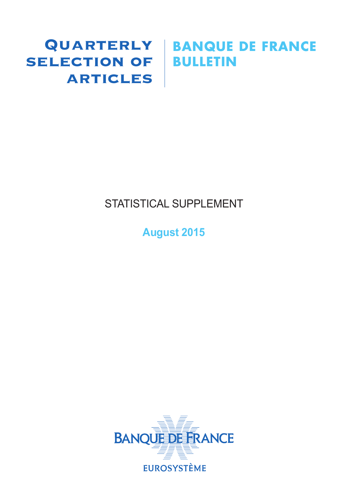# SELECTION OF BULLETIN **ARTICLES**

# Quarterly **BANQUE DE FRANCE**

# STATISTICAL SUPPLEMENT

**August 2015**

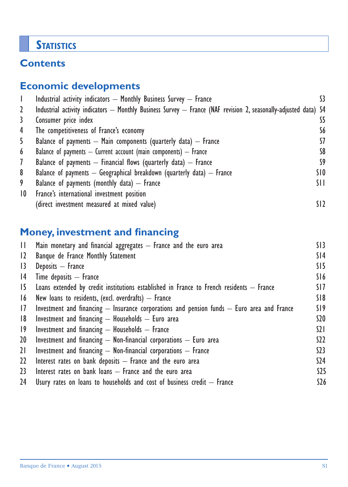# **STATISTICS**

# **Contents**

# **Economic developments**

|                 | Industrial activity indicators - Monthly Business Survey - France                                               |                 |
|-----------------|-----------------------------------------------------------------------------------------------------------------|-----------------|
| 2               | Industrial activity indicators — Monthly Business Survey — France (NAF revision 2, seasonally-adjusted data) S4 |                 |
| 3               | Consumer price index                                                                                            | S5              |
| 4               | The competitiveness of France's economy                                                                         | S6              |
| 5               | Balance of payments $-$ Main components (quarterly data) $-$ France                                             | 57              |
| 6               | Balance of payments $-$ Current account (main components) $-$ France                                            | S8              |
| $\mathcal{I}$   | Balance of payments $-$ Financial flows (quarterly data) $-$ France                                             | S9              |
| 8               | Balance of payments $-$ Geographical breakdown (quarterly data) $-$ France                                      | SIO             |
| 9               | Balance of payments (monthly data) $-$ France                                                                   | SH.             |
| $\overline{10}$ | France's international investment position                                                                      |                 |
|                 | (direct investment measured at mixed value)                                                                     | SI <sub>2</sub> |

# **Money, investment and financing**

| H.          | Main monetary and financial aggregates - France and the euro area                              | SI3            |
|-------------|------------------------------------------------------------------------------------------------|----------------|
| 12          | Banque de France Monthly Statement                                                             | S14            |
| 13          | Deposits - France                                                                              | SI5            |
| 4           | $Time$ deposits $-$ France                                                                     | S16            |
| 15          | Loans extended by credit institutions established in France to French residents $-$ France     | SI 7           |
| 16          | New loans to residents, (excl. overdrafts) $-$ France                                          | S18            |
| 17          | Investment and financing $-$ Insurance corporations and pension funds $-$ Euro area and France | S19            |
| 8           | Investment and financing $-$ Households $-$ Euro area                                          | \$20           |
| $ 9\rangle$ | Investment and financing $-$ Households $-$ France                                             | $\Omega$       |
| 20          | Investment and financing $-$ Non-financial corporations $-$ Euro area                          | S <sub>2</sub> |
| 21          | Investment and financing $-$ Non-financial corporations $-$ France                             | 523            |
| $22 \,$     | Interest rates on bank deposits $-$ France and the euro area                                   | \$24           |
| 23          | Interest rates on bank loans $-$ France and the euro area                                      | $525$          |
| 24          | Usury rates on loans to households and cost of business credit $-$ France                      | \$26           |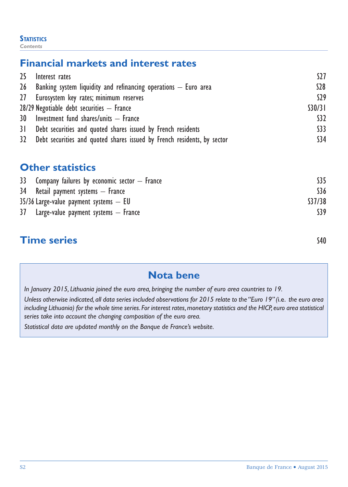#### **STATISTICS** *Contents*

# **Financial markets and interest rates**

| 25 | Interest rates                                                             | S27     |
|----|----------------------------------------------------------------------------|---------|
|    | 26 Banking system liquidity and refinancing operations $-$ Euro area       | $528$   |
|    | 27 Eurosystem key rates; minimum reserves                                  | S29     |
|    | $28/29$ Negotiable debt securities $-$ France                              | \$30/31 |
|    | 30 Investment fund shares/units - France                                   | \$32    |
|    | 31 Debt securities and quoted shares issued by French residents            | \$33    |
|    | 32 Debt securities and quoted shares issued by French residents, by sector | \$34    |

# **Other statistics**

| 33 Company failures by economic sector $-$ France |         |
|---------------------------------------------------|---------|
| 34 Retail payment systems – France                | S36     |
| $35/36$ Large-value payment systems $-$ EU        | \$37/38 |
| $37$ Large-value payment systems $-$ France       | S39     |

# **Time series** S40

# **Nota bene**

*In January 2015, Lithuania joined the euro area, bringing the number of euro area countries to 19.*

*Unless otherwise indicated, all data series included observations for 2015 relate to the "Euro 19" (*i.e. *the euro area including Lithuania) for the whole time series. For interest rates, monetary statistics and the HICP, euro area statistical series take into account the changing composition of the euro area.*

*Statistical data are updated monthly on the Banque de France's website.*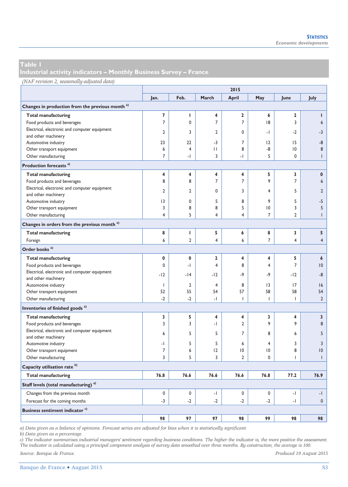**Industrial activity indicators – Monthly Business Survey – France** 

|                                                             | 2015           |                |                         |                         |                |                         |                |  |
|-------------------------------------------------------------|----------------|----------------|-------------------------|-------------------------|----------------|-------------------------|----------------|--|
|                                                             | Jan.           | Feb.           | March                   | <b>April</b>            | May            | June                    | July           |  |
| Changes in production from the previous month <sup>a)</sup> |                |                |                         |                         |                |                         |                |  |
| <b>Total manufacturing</b>                                  | 7              | т              | 4                       | $\overline{\mathbf{2}}$ | 6              | $\overline{\mathbf{2}}$ | т              |  |
| Food products and beverages                                 | $\overline{7}$ | 0              | $\overline{7}$          | $\overline{7}$          | 8              | 3                       | 6              |  |
| Electrical, electronic and computer equipment               |                |                |                         |                         |                |                         |                |  |
| and other machinery                                         | $\overline{2}$ | 3              | $\overline{2}$          | $\mathbf 0$             | $\cdot$        | $-2$                    | $-3$           |  |
| Automotive industry                                         | 23             | 22             | $-3$                    | $\overline{7}$          | 2              | 15                      | -8             |  |
| Other transport equipment                                   | 6              | 4              | П                       | 8                       | -8             | $ 0\rangle$             | 8              |  |
| Other manufacturing                                         | $\overline{7}$ | -1             | 3                       | $\cdot$                 | 5              | 0                       | $\mathsf{I}$   |  |
| Production forecasts <sup>a)</sup>                          |                |                |                         |                         |                |                         |                |  |
| <b>Total manufacturing</b>                                  | 4              | 4              | 4                       | 4                       | 5              | 3                       | $\pmb{0}$      |  |
| Food products and beverages                                 | 8              | 8              | $\overline{7}$          | $\overline{7}$          | 9              | $\overline{7}$          | 6              |  |
| Electrical, electronic and computer equipment               |                |                |                         |                         |                |                         |                |  |
| and other machinery                                         | $\overline{2}$ | $\overline{2}$ | $\mathbf{0}$            | 3                       | 4              | 5                       | $\overline{2}$ |  |
| Automotive industry                                         | 3              | 0              | 5                       | 8                       | 9              | 5                       | $-5$           |  |
| Other transport equipment                                   | 3              | 8              | 8                       | 5                       | $\overline{0}$ | 3                       | 5              |  |
| Other manufacturing                                         | 4              | 5              | 4                       | 4                       | $\overline{7}$ | $\overline{2}$          | $\overline{1}$ |  |
| Changes in orders from the previous month <sup>a)</sup>     |                |                |                         |                         |                |                         |                |  |
| <b>Total manufacturing</b>                                  | 8              | $\mathbf{I}$   | 5                       | 6                       | 8              | 3                       | 5              |  |
| Foreign                                                     | 6              | $\overline{2}$ | $\overline{4}$          | 6                       | $\overline{7}$ | $\overline{4}$          | $\overline{4}$ |  |
| Order books <sup>a)</sup>                                   |                |                |                         |                         |                |                         |                |  |
|                                                             | 0              | 0              | $\overline{\mathbf{2}}$ | 4                       |                |                         |                |  |
| <b>Total manufacturing</b>                                  | $\mathbf 0$    |                | $\overline{4}$          | 8                       | 4              | 5<br>$\overline{7}$     | 6<br>10        |  |
| Food products and beverages                                 |                | -1             |                         |                         | $\overline{4}$ |                         |                |  |
| Electrical, electronic and computer equipment               | $-12$          | $-14$          | $-12$                   | -9                      | -9             | $-12$                   | -8             |  |
| and other machinery                                         | I              | $\overline{2}$ | $\overline{4}$          | 8                       | 3              | 17                      |                |  |
| Automotive industry                                         | 52             | 55             | 54                      | 57                      | 58             | 58                      | 16             |  |
| Other transport equipment                                   |                |                |                         |                         |                |                         | 54             |  |
| Other manufacturing                                         | $-2$           | $-2$           | $\overline{a}$          | $\overline{1}$          | п              | $\overline{1}$          | $\overline{2}$ |  |
| Inventories of finished goods <sup>a)</sup>                 |                |                |                         |                         |                |                         |                |  |
| <b>Total manufacturing</b>                                  | 3              | 5              | 4                       | 4                       | 3              | 4                       | 3              |  |
| Food products and beverages                                 | 3              | 3              | -1                      | $\overline{2}$          | 9              | 9                       | 8              |  |
| Electrical, electronic and computer equipment               | 6              | 5              | 5                       | $\overline{7}$          | 8              | 6                       | 5              |  |
| and other machinery                                         |                |                |                         |                         |                |                         |                |  |
| Automotive industry                                         | - 1            | 5              | 5                       | 6                       | $\overline{4}$ | 3                       | $\overline{3}$ |  |
| Other transport equipment                                   | 7              | 6              | 12                      | $\overline{10}$         | $\overline{0}$ | 8                       | 10             |  |
| Other manufacturing                                         | 3              | 5              | 3                       | $\overline{2}$          | 0              | $\mathsf{I}$            | т              |  |
| Capacity utilisation rate b)                                |                |                |                         |                         |                |                         |                |  |
| <b>Total manufacturing</b>                                  | 76.8           | 76.6           | 76.6                    | 76.6                    | 76.8           | 77.2                    | 76.9           |  |
| Staff levels (total manufacturing) <sup>a)</sup>            |                |                |                         |                         |                |                         |                |  |
| Changes from the previous month                             | $\mathbf 0$    | $\mathbf 0$    | $\cdot$                 | $\mathbf 0$             | $\mathbf 0$    | $-1$                    | $-1$           |  |
| Forecast for the coming months                              | $-3$           | $-2$           | $-2$                    | $-2$                    | $-2$           | $\cdot$                 | $\mathbf{0}$   |  |
| Business sentiment indicator <sup>c)</sup>                  |                |                |                         |                         |                |                         |                |  |
|                                                             | 98             | 97             | 97                      | 98                      | 99             | 98                      | 98             |  |

*a) Data given as a balance of opinions. Forecast series are adjusted for bias when it is statistically significant.* 

*b) Data given as a percentage.* 

*c) The indicator summarises industrial managers' sentiment regarding business conditions. The higher the indicator is, the more positive the assessment. The indicator is calculated using a principal component analysis of survey data smoothed over three months. By construction, the average is 100.*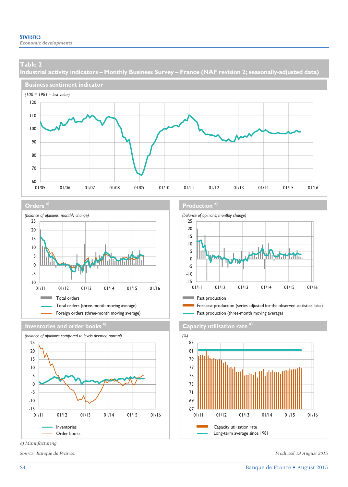**Industrial activity indicators – Monthly Business Survey – France (NAF revision 2; seasonally-adjusted data)** 











*a) Manufacturing.* 

#### **Orders<sup>a)</sup> <b>Production Production Production Production Production**



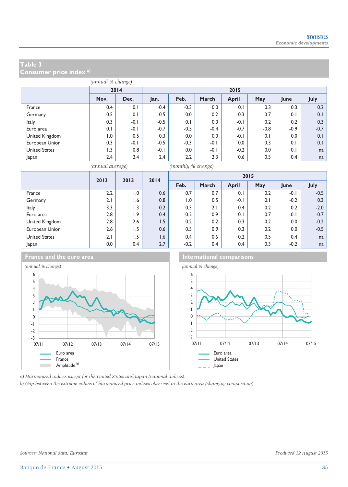**Consumer price index a)**

| (annual % change)    |      |              |        |        |        |              |        |        |        |  |
|----------------------|------|--------------|--------|--------|--------|--------------|--------|--------|--------|--|
|                      |      | 2014<br>2015 |        |        |        |              |        |        |        |  |
|                      | Nov. | Dec.         | Jan.   | Feb.   | March  | <b>April</b> | May    | June   | July   |  |
| France               | 0.4  | 0.1          | $-0.4$ | $-0.3$ | 0.0    | 0.1          | 0.3    | 0.3    | 0.2    |  |
| Germany              | 0.5  | 0.1          | $-0.5$ | 0.0    | 0.2    | 0.3          | 0.7    | 0.1    | 0.1    |  |
| <b>Italy</b>         | 0.3  | $-0.1$       | $-0.5$ | 0.1    | 0.0    | $-0.1$       | 0.2    | 0.2    | 0.3    |  |
| Euro area            | 0.1  | $-0.1$       | $-0.7$ | $-0.5$ | $-0.4$ | $-0.7$       | $-0.8$ | $-0.9$ | $-0.7$ |  |
| United Kingdom       | 0. ا | 0.5          | 0.3    | 0.0    | 0.0    | -0.1         | 0.1    | 0.0    | 0.1    |  |
| European Union       | 0.3  | $-0.1$       | $-0.5$ | $-0.3$ | $-0.1$ | 0.0          | 0.3    | 0.1    | 0.1    |  |
| <b>United States</b> | I.3  | 0.8          | $-0.1$ | 0.0    | $-0.1$ | $-0.2$       | 0.0    | 0.1    | na     |  |
| Japan                | 2.4  | 2.4          | 2.4    | 2.2    | 2.3    | 0.6          | 0.5    | 0.4    | na     |  |

*(annual average) (monthly % change)*

|                      | 2012<br>2013 | 2014            |     |        |       | 2015         |     |        |        |
|----------------------|--------------|-----------------|-----|--------|-------|--------------|-----|--------|--------|
|                      |              |                 |     | Feb.   | March | <b>April</b> | May | June   | July   |
| France               | 2.2          | 0.1             | 0.6 | 0.7    | 0.7   | 0.1          | 0.2 | $-0.1$ | $-0.5$ |
| Germany              | 2.1          | 1.6             | 0.8 | 1.0    | 0.5   | $-0.1$       | 0.1 | $-0.2$ | 0.3    |
| Italy                | 3.3          | $\overline{.3}$ | 0.2 | 0.3    | 2.1   | 0.4          | 0.2 | 0.2    | $-2.0$ |
| Euro area            | 2.8          | 1.9             | 0.4 | 0.2    | 0.9   | 0.1          | 0.7 | $-0.1$ | $-0.7$ |
| United Kingdom       | 2.8          | 2.6             | 1.5 | 0.2    | 0.2   | 0.3          | 0.2 | 0.0    | $-0.2$ |
| European Union       | 2.6          | 5.،             | 0.6 | 0.5    | 0.9   | 0.3          | 0.2 | 0.0    | $-0.5$ |
| <b>United States</b> | 2.1          | 1.5             | 1.6 | 0.4    | 0.6   | 0.2          | 0.5 | 0.4    | na     |
| Japan                | $0.0\,$      | 0.4             | 2.7 | $-0.2$ | 0.4   | 0.4          | 0.3 | $-0.2$ | na     |



**France and the euro area International comparisons** 



*a) Harmonised indices except for the United States and Japan (national indices).* 

*b) Gap between the extreme values of harmonised price indices observed in the euro area (changing composition).*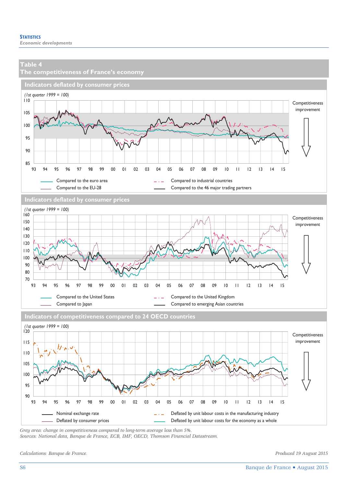

*Grey area: change in competitiveness compared to long-term average less than 5%.* 

*Sources: National data, Banque de France, ECB, IMF, OECD, Thomson Financial Datastream.* 

*Calculations: Banque de France. Produced 19 August 2015*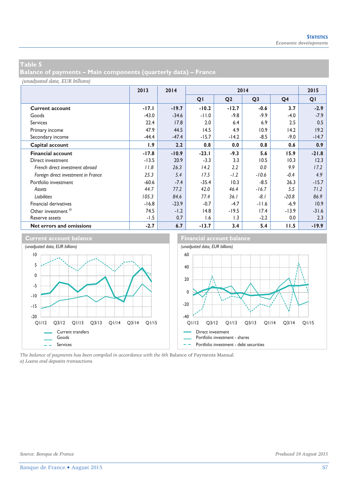**Balance of payments – Main components (quarterly data) – France** 

*(unadjusted data, EUR billions)*

|                                     | 2013    | 2014    |         | 2015           |                |                |         |
|-------------------------------------|---------|---------|---------|----------------|----------------|----------------|---------|
|                                     |         |         | QI      | Q <sub>2</sub> | Q <sub>3</sub> | Q <sub>4</sub> | QI      |
| <b>Current account</b>              | $-17.1$ | $-19.7$ | $-10.2$ | $-12.7$        | $-0.6$         | 3.7            | $-2.9$  |
| Goods                               | $-43.0$ | $-34.6$ | $-11.0$ | $-9.8$         | $-9.9$         | $-4.0$         | $-7.9$  |
| <b>Services</b>                     | 22.4    | 17.8    | 2.0     | 6.4            | 6.9            | 2.5            | 0.5     |
| Primary income                      | 47.9    | 44.5    | 14.5    | 4.9            | 10.9           | 14.2           | 19.2    |
| Secondary income                    | $-44.4$ | $-47.4$ | $-15.7$ | $-14.2$        | $-8.5$         | $-9.0$         | $-14.7$ |
| Capital account                     | 1.9     | 2.2     | 0.8     | 0.0            | 0.8            | 0.6            | 0.9     |
| <b>Financial account</b>            | $-17.8$ | $-10.9$ | $-23.1$ | $-9.3$         | 5.6            | 15.9           | $-21.8$ |
| Direct investment                   | $-13.5$ | 20.9    | $-3.3$  | 3.3            | 10.5           | 10.3           | 12.3    |
| French direct investment abroad     | 11.8    | 26.3    | 14.2    | 2.2            | 0.0            | 9.9            | 17.2    |
| Foreign direct investment in France | 25.3    | 5.4     | 17.5    | $-1.2$         | $-10.6$        | $-0.4$         | 4.9     |
| Portfolio investment                | $-60.6$ | $-7.4$  | $-35.4$ | 10.3           | $-8.5$         | 26.3           | $-15.7$ |
| Assets                              | 44.7    | 77.2    | 42.0    | 46.4           | $-16.7$        | 5.5            | 71.2    |
| <b>Liabilities</b>                  | 105.3   | 84.6    | 77.4    | 36.1           | $-8.1$         | $-20.8$        | 86.9    |
| Financial derivatives               | $-16.8$ | $-23.9$ | $-0.7$  | $-4.7$         | $-11.6$        | $-6.9$         | 10.9    |
| Other investment <sup>a)</sup>      | 74.5    | $-1.2$  | 14.8    | $-19.5$        | 17.4           | $-13.9$        | $-31.6$ |
| Reserve assets                      | $-1.5$  | 0.7     | 1.6     | 1.3            | $-2.2$         | 0.0            | 2.3     |
| Net errors and omissions            | $-2.7$  | 6.7     | $-13.7$ | 3.4            | 5.4            | 11.5           | $-19.9$ |



*The balance of payments has been compiled in accordance with the 6th* Balance of Payments Manual*. a) Loans and deposits transactions.*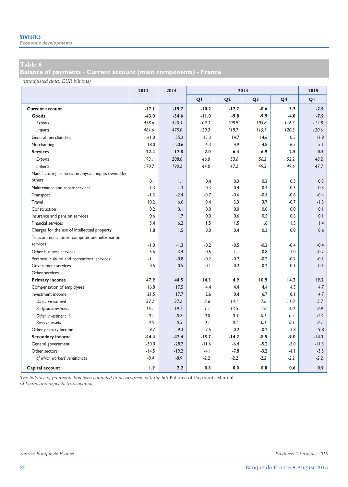*Economic developments* 

**Balance of payments - Current account (main components) - France** 

*(unadjusted data, EUR billions)*

|                                                    | 2013    | 2014         | 2014    |                |                |                | 2015            |
|----------------------------------------------------|---------|--------------|---------|----------------|----------------|----------------|-----------------|
|                                                    |         |              | QI      | Q <sub>2</sub> | Q <sub>3</sub> | Q <sub>4</sub> | QI              |
| <b>Current account</b>                             | $-17.1$ | $-19.7$      | $-10.2$ | $-12.7$        | $-0.6$         | 3.7            | $-2.9$          |
| Goods                                              | $-43.0$ | $-34.6$      | $-11.0$ | $-9.8$         | $-9.9$         | $-4.0$         | $-7.9$          |
| Exports                                            | 438.6   | 440.4        | 109.3   | 108.9          | 105.8          | 116.3          | 112.8           |
| Imports                                            | 481.6   | 475.0        | 120.3   | 118.7          | 115.7          | 120.3          | 120.6           |
| General merchandise                                | $-61.0$ | $-55.2$      | $-15.3$ | $-14.7$        | $-14.6$        | $-10.5$        | $-12.9$         |
| Merchanting                                        | 18.0    | 20.6         | 4.3     | 4.9            | 4.8            | 6.5            | 5.1             |
| <b>Services</b>                                    | 22.4    | 17.8         | 2.0     | 6.4            | 6.9            | 2.5            | 0.5             |
| Exports                                            | 193.1   | 208.0        | 46.0    | 53.6           | 56.2           | 52.2           | 48.2            |
| <i>Imports</i>                                     | 170.7   | 190.2        | 44.0    | 47.2           | 49.3           | 49.6           | 47.7            |
| Manufacturing services on physical inputs owned by |         |              |         |                |                |                |                 |
| others                                             | 0.1     | $\mathsf{L}$ | 0.4     | 0.3            | 0.2            | 0.3            | 0.3             |
| Maintenance and repair services                    | 1.3     | 1.3          | 0.3     | 0.4            | 0.4            | 0.3            | 0.3             |
| Transport                                          | $-1.3$  | $-2.4$       | $-0.7$  | $-0.6$         | $-0.4$         | $-0.6$         | $-0.4$          |
| Travel                                             | 10.2    | 6.6          | 0.4     | 3.3            | 3.7            | $-0.7$         | $-1.3$          |
| Construction                                       | 0.2     | 0.1          | 0.0     | 0.0            | 0.0            | 0.0            | 0.1             |
| Insurance and pension services                     | 0.6     | 1.7          | 0.0     | 0.6            | 0.5            | 0.6            | 0.1             |
| Financial services                                 | 5.4     | 6.2          | 1.5     | 1.5            | 1.6            | 1.5            | $\mathsf{I}$ .4 |
| Charges for the use of intellectual property       | 1.8     | 1.5          | 0.0     | 0.4            | 0.3            | 0.8            | 0.6             |
| Telecommunications, computer and information       |         |              |         |                |                |                |                 |
| services                                           | $-1.0$  | $-1.3$       | $-0.2$  | $-0.5$         | $-0.2$         | $-0.4$         | $-0.4$          |
| Other business services                            | 5.6     | 3.4          | 0.5     | $\mathsf{L}$   | 0.8            | 1.0            | $-0.2$          |
| Personal, cultural and recreational services       | -1.1    | $-0.8$       | $-0.2$  | $-0.2$         | $-0.2$         | $-0.2$         | $-0.1$          |
| <b>Government services</b>                         | 0.5     | 0.5          | 0.1     | 0.2            | 0.2            | 0.1            | 0.1             |
| Other services                                     |         |              |         |                |                |                |                 |
| <b>Primary income</b>                              | 47.9    | 44.5         | 14.5    | 4.9            | 10.9           | 14.2           | 19.2            |
| Compensation of employees                          | 16.8    | 17.5         | 4.4     | 4.4            | 4.4            | 4.3            | 4.7             |
| Investment income                                  | 21.5    | 17.7         | 2.6     | 0.4            | 6.7            | 8.1            | 4.7             |
| Direct investment                                  | 37.2    | 37.2         | 3.6     | 4.1            | 7.6            | 11.8           | 5.7             |
| Portfolio investment                               | $-16.1$ | $-19.7$      | $-1.1$  | $-13.5$        | $-1.0$         | $-4.0$         | $-0.9$          |
| Other investment <sup>a)</sup>                     | $-0.1$  | $-0.2$       | 0.0     | $-0.3$         | $-0.1$         | 0.2            | $-0.3$          |
| Reserve assets                                     | 0.5     | 0.5          | 0.1     | 0.1            | 0.1            | 0.1            | 0.1             |
| Other primary income                               | 9.7     | 9.3          | 7.5     | 0.2            | $-0.2$         | 1.8            | 9.8             |
| <b>Secondary income</b>                            | $-44.4$ | $-47.4$      | $-15.7$ | $-14.2$        | $-8.5$         | $-9.0$         | $-14.7$         |
| General government                                 | $-30.0$ | $-28.2$      | $-11.6$ | $-6.4$         | $-5.2$         | $-5.0$         | $-11.3$         |
| Other sectors                                      | $-14.5$ | $-19.2$      | $-4.1$  | $-7.8$         | $-3.2$         | $-4.1$         | $-3.5$          |
| of which workers' remittances                      | $-8.4$  | $-8.9$       | $-2.2$  | $-2.2$         | $-2.2$         | $-2.2$         | $-2.2$          |
| Capital account                                    | 1.9     | 2.2          | 0.8     | 0.0            | 0.8            | 0.6            | 0.9             |

*The balance of payments has been compiled in accordance with the 6th* Balance of Payments Manual*. a) Loans and deposits transactions.*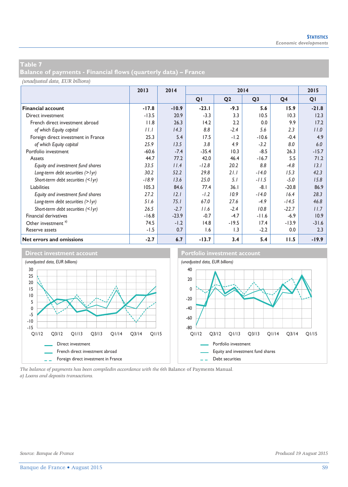**Balance of payments - Financial flows (quarterly data) – France** 

#### *(unadjusted data, EUR billions)*

|                                     | 2013    | 2014    | 2014           |                  |                |                | 2015           |
|-------------------------------------|---------|---------|----------------|------------------|----------------|----------------|----------------|
|                                     |         |         | Q <sub>1</sub> | Q <sub>2</sub>   | Q <sub>3</sub> | Q <sub>4</sub> | Q <sub>1</sub> |
| <b>Financial account</b>            | $-17.8$ | $-10.9$ | $-23.1$        | $-9.3$           | 5.6            | 15.9           | $-21.8$        |
| Direct investment                   | $-13.5$ | 20.9    | $-3.3$         | 3.3              | 10.5           | 10.3           | 12.3           |
| French direct investment abroad     | 11.8    | 26.3    | 14.2           | 2.2              | 0.0            | 9.9            | 17.2           |
| of which Equity capital             | I       | 14.3    | 8.8            | $-2.4$           | 5.6            | 2.3            | 11.0           |
| Foreign direct investment in France | 25.3    | 5.4     | 17.5           | $-1.2$           | $-10.6$        | $-0.4$         | 4.9            |
| of which Equity capital             | 25.9    | 13.5    | 3.8            | 4.9              | $-3.2$         | 8.0            | 6.0            |
| Portfolio investment                | $-60.6$ | $-7.4$  | $-35.4$        | 10.3             | $-8.5$         | 26.3           | $-15.7$        |
| Assets                              | 44.7    | 77.2    | 42.0           | 46.4             | $-16.7$        | 5.5            | 71.2           |
| Equity and investment fund shares   | 33.5    | 11.4    | $-12.8$        | 20.2             | 8.8            | $-4.8$         | 13.1           |
| Long-term debt securities (> lyr)   | 30.2    | 52.2    | 29.8           | 21.1             | $-14.0$        | 15.3           | 42.3           |
| Short-term debt securities (< lyr)  | $-18.9$ | 13.6    | 25.0           | 5.1              | $-11.5$        | $-5.0$         | 15.8           |
| Liabilities                         | 105.3   | 84.6    | 77.4           | 36.1             | $-8.1$         | $-20.8$        | 86.9           |
| Equity and investment fund shares   | 27.2    | 12.1    | $-1.2$         | 10.9             | $-14.0$        | 16.4           | 28.3           |
| Long-term debt securities (> lyr)   | 51.6    | 75.1    | 67.0           | 27.6             | $-4.9$         | $-14.5$        | 46.8           |
| Short-term debt securities (< lyr)  | 26.5    | $-2.7$  | 11.6           | $-2.4$           | 10.8           | $-22.7$        | 11.7           |
| <b>Financial derivatives</b>        | $-16.8$ | $-23.9$ | $-0.7$         | $-4.7$           | $-11.6$        | $-6.9$         | 10.9           |
| Other investment <sup>a)</sup>      | 74.5    | $-1.2$  | 14.8           | $-19.5$          | 17.4           | $-13.9$        | $-31.6$        |
| Reserve assets                      | $-1.5$  | 0.7     | 1.6            | $\overline{1.3}$ | $-2.2$         | 0.0            | 2.3            |
| Net errors and omissions            | $-2.7$  | 6.7     | $-13.7$        | 3.4              | 5.4            | 11.5           | $-19.9$        |



*The balance of payments has been compiledin accordance with the 6th* Balance of Payments Manual*. a) Loans and deposits transactions.*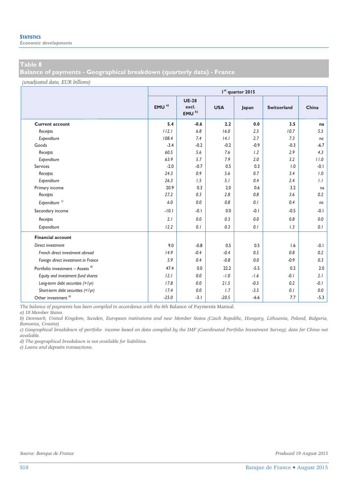**Balance of payments - Geographical breakdown (quarterly data) - France** 

*(unadjusted data, EUR billions)*

|                                             |                  | I <sup>st</sup> quarter 2015               |            |        |                    |        |  |  |  |  |  |
|---------------------------------------------|------------------|--------------------------------------------|------------|--------|--------------------|--------|--|--|--|--|--|
|                                             | EMU <sup>a</sup> | <b>UE-28</b><br>excl.<br>EMU <sup>b)</sup> | <b>USA</b> | Japan  | <b>Switzerland</b> | China  |  |  |  |  |  |
| <b>Current account</b>                      | 5.4              | $-0.6$                                     | 2.2        | 0.0    | 3.5                | na     |  |  |  |  |  |
| Receipts                                    | 112.1            | 6.8                                        | 16.0       | 2.5    | 10.7               | 5.5    |  |  |  |  |  |
| Expenditure                                 | 108.4            | 7.4                                        | 14.1       | 2.7    | 7.3                | na     |  |  |  |  |  |
| Goods                                       | $-3.4$           | $-0.2$                                     | $-0.2$     | $-0.9$ | $-0.3$             | $-6.7$ |  |  |  |  |  |
| Receipts                                    | 60.5             | 5.6                                        | 7.6        | 1.2    | 2.9                | 4.3    |  |  |  |  |  |
| Expenditure                                 | 63.9             | 5.7                                        | 7.9        | 2.0    | 3.2                | 11.0   |  |  |  |  |  |
| Services                                    | $-2.0$           | $-0.7$                                     | 0.5        | 0.3    | 1.0                | $-0.1$ |  |  |  |  |  |
| Receipts                                    | 24.3             | 0.9                                        | 5.6        | 0.7    | 3.4                | 1.0    |  |  |  |  |  |
| Expenditure                                 | 26.3             | 1.5                                        | 5.1        | 0.4    | 2.4                | 1.1    |  |  |  |  |  |
| Primary income                              | 20.9             | 0.3                                        | 2.0        | 0.6    | 3.2                | na     |  |  |  |  |  |
| Receipts                                    | 27.2             | 0.3                                        | 2.8        | 0.8    | 3.6                | 0.2    |  |  |  |  |  |
| Expenditure <sup>c)</sup>                   | 6.0              | 0.0                                        | 0.8        | 0.1    | 0.4                | na     |  |  |  |  |  |
| Secondary income                            | $-10.1$          | $-0.1$                                     | 0.0        | $-0.1$ | $-0.5$             | -0.1   |  |  |  |  |  |
| Receipts                                    | 2.1              | 0.0                                        | 0.3        | 0.0    | 0.8                | 0.0    |  |  |  |  |  |
| Expenditure                                 | 12.2             | 0.1                                        | 0.3        | 0.1    | 1.3                | 0.1    |  |  |  |  |  |
| <b>Financial account</b>                    |                  |                                            |            |        |                    |        |  |  |  |  |  |
| Direct investment                           | 9.0              | $-0.8$                                     | 0.5        | 0.5    | 1.6                | $-0.1$ |  |  |  |  |  |
| French direct investment abroad             | 14.9             | $-0.4$                                     | $-0.4$     | 0.5    | 0.8                | 0.2    |  |  |  |  |  |
| Foreign direct investment in France         | 5.9              | 0.4                                        | $-0.8$     | 0.0    | $-0.9$             | 0.3    |  |  |  |  |  |
| Portfolio investment - Assets <sup>d)</sup> | 47.4             | 0.0                                        | 22.2       | $-5.5$ | 0.2                | 2.0    |  |  |  |  |  |
| Equity and investment fund shares           | 12.1             | 0.0                                        | $-1.0$     | $-1.6$ | $-0.1$             | 2.1    |  |  |  |  |  |
| Long-term debt securities (> lyr)           | 17.8             | 0.0                                        | 21.5       | $-0.5$ | 0.2                | $-0.1$ |  |  |  |  |  |
| Short-term debt securities (<1yr)           | 17.4             | 0.0                                        | 1.7        | $-3.5$ | 0.1                | 0.0    |  |  |  |  |  |
| Other investment $e$ )                      | $-25.0$          | $-3.1$                                     | $-20.5$    | $-6.6$ | 7.7                | $-5.3$ |  |  |  |  |  |

*The balance of payments has been compiled in accordance with the 6th* Balance of Payments Manual*.* 

*a) 18 Member States.* 

*b) Denmark, United Kingdom, Sweden, European institutions and new Member States (Czech Republic, Hungary, Lithuania, Poland, Bulgaria, Romania, Croatia).* 

*c) Geographical breakdown of portfolio income based on data compiled by the IMF (Coordinated Portfolio Investment Survey); data for China not available.* 

*d) The geographical breakdown is not available for liabilities.* 

*e) Loans and deposits transactions.*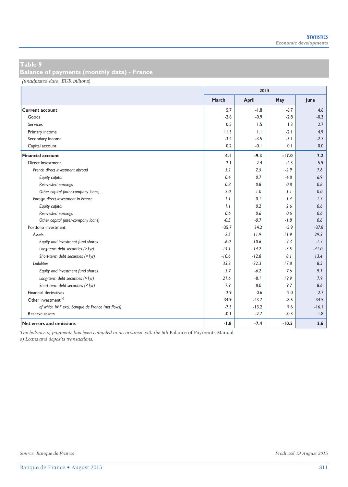**Balance of payments (monthly data) - France** 

*(unadjusted data, EUR billions)*

|                                                 | 2015    |         |                  |         |  |  |  |
|-------------------------------------------------|---------|---------|------------------|---------|--|--|--|
|                                                 | March   | April   | May              | June    |  |  |  |
| <b>Current account</b>                          | 5.7     | $-1.8$  | $-6.7$           | 4.6     |  |  |  |
| Goods                                           | $-2.6$  | $-0.9$  | $-2.8$           | $-0.3$  |  |  |  |
| Services                                        | 0.5     | 1.5     | $\overline{1.3}$ | 2.7     |  |  |  |
| Primary income                                  | 11.3    | 1.1     | $-2.1$           | 4.9     |  |  |  |
| Secondary income                                | $-3.4$  | $-3.5$  | $-3.1$           | $-2.7$  |  |  |  |
| Capital account                                 | 0.2     | $-0.1$  | 0.1              | 0.0     |  |  |  |
| <b>Financial account</b>                        | 4.1     | $-9.3$  | $-17.0$          | 7.2     |  |  |  |
| Direct investment                               | 2.1     | 2.4     | $-4.3$           | 5.9     |  |  |  |
| French direct investment abroad                 | 3.2     | 2.5     | $-2.9$           | 7.6     |  |  |  |
| Equity capital                                  | 0.4     | 0.7     | $-4.8$           | 6.9     |  |  |  |
| Reinvested earnings                             | 0.8     | 0.8     | 0.8              | 0.8     |  |  |  |
| Other capital (inter-company loans)             | 2.0     | 1.0     | 1.1              | 0.0     |  |  |  |
| Foreign direct investment in France             | 1.1     | 0.1     | 1.4              | 1.7     |  |  |  |
| Equity capital                                  | 1.1     | 0.2     | 2.6              | 0.6     |  |  |  |
| Reinvested earnings                             | 0.6     | 0.6     | 0.6              | 0.6     |  |  |  |
| Other capital (inter-company loans)             | $-0.5$  | $-0.7$  | $-1.8$           | 0.6     |  |  |  |
| Portfolio investment                            | $-35.7$ | 34.2    | $-5.9$           | $-37.8$ |  |  |  |
| Assets                                          | $-2.5$  | 11.9    | 11.9             | $-29.3$ |  |  |  |
| Equity and investment fund shares               | $-6.0$  | 10.6    | 7.3              | $-1.7$  |  |  |  |
| Long-term debt securities (> lyr)               | 4.1     | 14.2    | $-3.5$           | $-41.0$ |  |  |  |
| Short-term debt securities (<1yr)               | $-10.6$ | $-12.8$ | 8.1              | 13.4    |  |  |  |
| Liabilities                                     | 33.2    | $-22.3$ | 17.8             | 8.5     |  |  |  |
| Equity and investment fund shares               | 3.7     | $-6.2$  | 7.6              | 9.1     |  |  |  |
| Long-term debt securities (> lyr)               | 21.6    | $-8.1$  | 19.9             | 7.9     |  |  |  |
| Short-term debt securities (<1yr)               | 7.9     | $-8.0$  | $-9.7$           | $-8.6$  |  |  |  |
| Financial derivatives                           | 2.9     | 0.6     | 2.0              | 2.7     |  |  |  |
| Other investment <sup>a)</sup>                  | 34.9    | $-43.7$ | $-8.5$           | 34.5    |  |  |  |
| of which IMF excl. Banque de France (net flows) | $-7.3$  | $-13.2$ | 9.6              | $-16.1$ |  |  |  |
| Reserve assets                                  | $-0.1$  | $-2.7$  | $-0.3$           | 1.8     |  |  |  |
| <b>Net errors and omissions</b>                 | $-1.8$  | $-7.4$  | $-10.5$          | 2.6     |  |  |  |

*The balance of payments has been compiled in accordance with the 6th* Balance of Payments Manual*.* 

*a) Loans and deposits transactions.*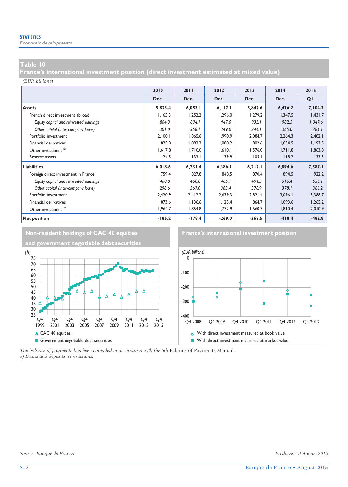*Economic developments* 

### **Table 10**

**France's international investment position (direct investment estimated at mixed value)** 

#### *(EUR billions)*

|                                        | 2010     | 2011     | 2012     | 2013     | 2014     | 2015     |
|----------------------------------------|----------|----------|----------|----------|----------|----------|
|                                        | Dec.     | Dec.     | Dec.     | Dec.     | Dec.     | QI       |
| <b>Assets</b>                          | 5,833.4  | 6,053.1  | 6,117.1  | 5,847.6  | 6,476.2  | 7,104.3  |
| French direct investment abroad        | 1,165.3  | 1,252.2  | 1.296.0  | 1.279.2  | 1,347.5  | 1,431.7  |
| Equity capital and reinvested earnings | 864.3    | 894.1    | 947.0    | 935.1    | 982.5    | 1,047.6  |
| Other capital (inter-company loans)    | 301.0    | 358.1    | 349.0    | 344.1    | 365.0    | 384.1    |
| Portfolio investment                   | 2,100.1  | 1,865.6  | 1,990.9  | 2,084.7  | 2,264.3  | 2,482.1  |
| Financial derivatives                  | 825.8    | 1,092.2  | 1,080.2  | 802.6    | 1,034.5  | 1,193.5  |
| Other investment <sup>a)</sup>         | 1,617.8  | 1,710.0  | 1,610.1  | 1,576.0  | 1,711.8  | 1,863.8  |
| Reserve assets                         | 124.5    | 133.1    | 139.9    | 105.1    | 118.2    | 133.3    |
| <b>Liabilities</b>                     | 6,018.6  | 6,231.4  | 6,386.1  | 6,217.1  | 6,894.6  | 7,587.1  |
| Foreign direct investment in France    | 759.4    | 827.8    | 848.5    | 870.4    | 894.5    | 922.2    |
| Equity capital and reinvested earnings | 460.8    | 460.8    | 465.1    | 491.5    | 516.4    | 536.1    |
| Other capital (inter-company loans)    | 298.6    | 367.0    | 383.4    | 378.9    | 378.1    | 386.2    |
| Portfolio investment                   | 2,420.9  | 2,412.2  | 2,639.3  | 2,821.4  | 3,096.1  | 3,388.7  |
| Financial derivatives                  | 873.6    | 1,136.6  | 1,125.4  | 864.7    | 1,093.6  | 1,265.2  |
| Other investment <sup>a)</sup>         | 1,964.7  | 1,854.8  | 1,772.9  | 1,660.7  | 1,810.4  | 2,010.9  |
| <b>Net position</b>                    | $-185.2$ | $-178.4$ | $-269.0$ | $-369.5$ | $-418.4$ | $-482.8$ |



*The balance of payments has been compiled in accordance with the 6th* Balance of Payments Manual*. a) Loans and deposits transactions.*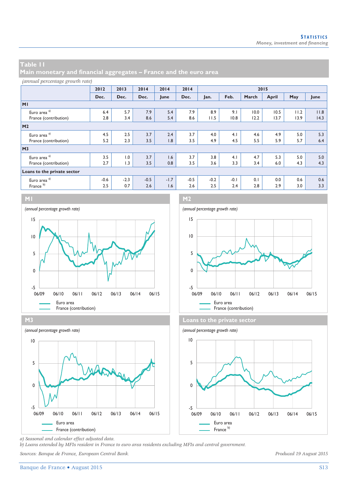**Main monetary and financial aggregates – France and the euro area** 

#### *(annual percentage growth rate)*

|                             | 2012   | 2013   | 2014   | 2014   | 2014   | 2015   |        |       |       |      |      |
|-----------------------------|--------|--------|--------|--------|--------|--------|--------|-------|-------|------|------|
|                             | Dec.   | Dec.   | Dec.   | June   | Dec.   | Jan.   | Feb.   | March | April | May  | June |
| M <sub>1</sub>              |        |        |        |        |        |        |        |       |       |      |      |
| Euro area <sup>a)</sup>     | 6.4    | 5.7    | 7.9    | 5.4    | 7.9    | 8.9    | 9.1    | 10.0  | 10.5  | 11.2 | 11.8 |
| France (contribution)       | 2.8    | 3.4    | 8.6    | 5.4    | 8.6    | 11.5   | 10.8   | 12.2  | 13.7  | 13.9 | 14.3 |
| M <sub>2</sub>              |        |        |        |        |        |        |        |       |       |      |      |
| Euro area <sup>a)</sup>     | 4.5    | 2.5    | 3.7    | 2.4    | 3.7    | 4.0    | 4.1    | 4.6   | 4.9   | 5.0  | 5.3  |
| France (contribution)       | 5.2    | 2.3    | 3.5    | 1.8    | 3.5    | 4.9    | 4.5    | 5.5   | 5.9   | 5.7  | 6.4  |
| M <sub>3</sub>              |        |        |        |        |        |        |        |       |       |      |      |
| Euro area <sup>a)</sup>     | 3.5    | 1.0    | 3.7    | 1.6    | 3.7    | 3.8    | 4.1    | 4.7   | 5.3   | 5.0  | 5.0  |
| France (contribution)       | 2.7    | 1.3    | 3.5    | 0.8    | 3.5    | 3.6    | 3.3    | 3.4   | 6.0   | 4.3  | 4.3  |
| Loans to the private sector |        |        |        |        |        |        |        |       |       |      |      |
| Euro area <sup>a)</sup>     | $-0.6$ | $-2.3$ | $-0.5$ | $-1.7$ | $-0.5$ | $-0.2$ | $-0.1$ | 0.1   | 0.0   | 0.6  | 0.6  |
| France <sup>b)</sup>        | 2.5    | 0.7    | 2.6    | 1.6    | 2.6    | 2.5    | 2.4    | 2.8   | 2.9   | 3.0  | 3.3  |



**M3 Loans to the private sector** *(annual percentage growth rate) (annual percentage growth rate)* Euro area Euro area France (contribution) France b) France b) France b) -5  $\mathbf 0$ 5 10 06/09 06/10 06/11 06/12 06/13 06/14 06/15







*a) Seasonal and calendar effect adjusted data.* 

*b) Loans extended by MFIs resident in France to euro area residents excluding MFIs and central government.* 

*Sources: Banque de France, European Central Bank. Produced 19 August 2015*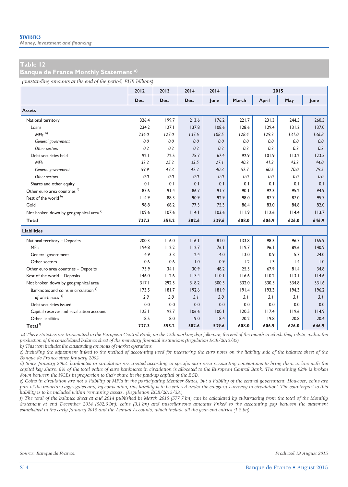*Money, investment and financing* 

#### **Table 12**

**Banque de France Monthly Statement a)**

*(outstanding amounts at the end of the period, EUR billions)*

|                                                    | 2012  | 2013  | 2014  | 2014  |       | 2015  |       |       |
|----------------------------------------------------|-------|-------|-------|-------|-------|-------|-------|-------|
|                                                    | Dec.  | Dec.  | Dec.  | June  | March | April | May   | June  |
| <b>Assets</b>                                      |       |       |       |       |       |       |       |       |
| National territory                                 | 326.4 | 199.7 | 213.6 | 176.2 | 221.7 | 231.3 | 244.5 | 260.5 |
| Loans                                              | 234.2 | 127.1 | 137.8 | 108.6 | 128.6 | 129.4 | 131.2 | 137.0 |
| $MFls$ <sup>b)</sup>                               | 234.0 | 127.0 | 137.6 | 108.5 | 128.4 | 129.2 | 131.0 | 136.8 |
| General government                                 | 0.0   | 0.0   | 0.0   | 0.0   | 0.0   | 0.0   | 0.0   | 0.0   |
| Other sectors                                      | 0.2   | 0.2   | 0.2   | 0.2   | 0.2   | 0.2   | 0.2   | 0.2   |
| Debt securities held                               | 92.1  | 72.5  | 75.7  | 67.4  | 92.9  | 101.9 | 113.2 | 123.5 |
| <b>MFIs</b>                                        | 32.2  | 25.2  | 33.5  | 27.1  | 40.2  | 41.3  | 43.2  | 44.0  |
| General government                                 | 59.9  | 47.3  | 42.2  | 40.3  | 52.7  | 60.5  | 70.0  | 79.5  |
| Other sectors                                      | 0.0   | 0.0   | 0.0   | 0.0   | 0.0   | 0.0   | 0.0   | 0.0   |
| Shares and other equity                            | 0.1   | 0.1   | 0.1   | 0.1   | 0.1   | 0.1   | 0.1   | 0.1   |
| Other euro area countries <sup>b)</sup>            | 87.6  | 91.4  | 86.7  | 91.7  | 90.1  | 92.3  | 95.2  | 94.9  |
| Rest of the world b)                               | 114.9 | 88.3  | 90.9  | 92.9  | 98.0  | 87.7  | 87.0  | 95.7  |
| Gold                                               | 98.8  | 68.2  | 77.3  | 75.3  | 86.4  | 83.0  | 84.8  | 82.0  |
| Not broken down by geographical area <sup>c)</sup> | 109.6 | 107.6 | 114.1 | 103.6 | 111.9 | 112.6 | 114.4 | 113.7 |
| Total                                              | 737.3 | 555.2 | 582.6 | 539.6 | 608.0 | 606.9 | 626.0 | 646.9 |
| <b>Liabilities</b>                                 |       |       |       |       |       |       |       |       |
| National territory - Deposits                      | 200.3 | 116.0 | 116.1 | 81.0  | 133.8 | 98.3  | 96.7  | 165.9 |
| <b>MFIs</b>                                        | 194.8 | 112.2 | 112.7 | 76.1  | 119.7 | 96.1  | 89.6  | 140.9 |
| General government                                 | 4.9   | 3.3   | 2.4   | 4.0   | 13.0  | 0.9   | 5.7   | 24.0  |
| Other sectors                                      | 0.6   | 0.6   | 1.0   | 0.9   | 1.2   | 1.3   | 1.4   | 1.0   |
| Other euro area countries - Deposits               | 73.9  | 34.1  | 30.9  | 48.2  | 25.5  | 67.9  | 81.4  | 34.8  |
| Rest of the world - Deposits                       | 146.0 | 112.6 | 117.4 | 110.1 | 116.6 | 110.2 | 113.1 | 114.6 |
| Not broken down by geographical area               | 317.1 | 292.5 | 318.2 | 300.3 | 332.0 | 330.5 | 334.8 | 331.6 |
| Banknotes and coins in circulation <sup>d)</sup>   | 173.5 | 181.7 | 192.6 | 181.9 | 191.4 | 193.3 | 194.3 | 196.2 |
| of which coins <sup>e)</sup>                       | 2.9   | 3.0   | 3.1   | 3.0   | 3.1   | 3.1   | 3.1   | 3.1   |
| Debt securities issued                             | 0.0   | 0.0   | 0.0   | 0.0   | 0.0   | 0.0   | 0.0   | 0.0   |
| Capital reserves and revaluation account           | 125.1 | 92.7  | 106.6 | 100.1 | 120.5 | 117.4 | 119.6 | 114.9 |
| Other liabilities                                  | 18.5  | 18.0  | 19.0  | 18.4  | 20.2  | 19.8  | 20.8  | 20.4  |
| Total $^{\rm f)}$                                  | 737.3 | 555.2 | 582.6 | 539.6 | 608.0 | 606.9 | 626.0 | 646.9 |

 *a) These statistics are transmitted to the European Central Bank, on the 15th working day following the end of the month to which they relate, within the production of the consolidated balance sheet of the monetary financial institutions (Regulation ECB/2013/33).* 

*b) This item includes the outstanding amounts of market operations.* 

*c) Including the adjustment linked to the method of accounting used for measuring the euro notes on the liability side of the balance sheet of the Banque de France since January 2002.* 

*d) Since January 2002, banknotes in circulation are treated according to specific euro area accounting conventions to bring them in line with the capital key share. 8% of the total value of euro banknotes in circulation is allocated to the European Central Bank. The remaining 92% is broken down between the NCBs in proportion to their share in the paid-up capital of the ECB.* 

*e) Coins in circulation are not a liability of MFIs in the participating Member States, but a liability of the central government. However, coins are part of the monetary aggregates and, by convention, this liability is to be entered under the category 'currency in circulation'. The counterpart to this liability is to be included within 'remaining assets'. (Regulation ECB/2013/33.)* 

*f) The total of the balance sheet at end 2014 published in March 2015 (577.7 bn) can be calculated by substracting from the total of the Monthly Statement at end December 2014 (582.6 bn): coins (3,1 bn) and miscellaneous amounts linked to the accounting gap between the statement established in the early January 2015 and the Annual Accounts, which include all the year-end entries (1.8 bn).*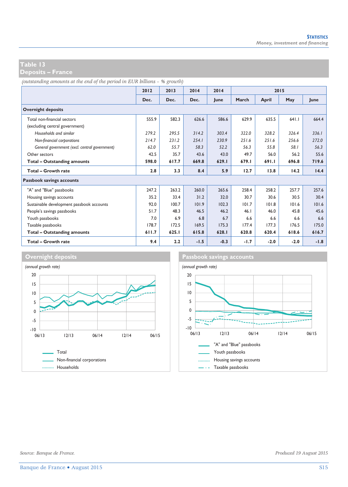**Deposits – France** 

*(outstanding amounts at the end of the period in EUR billions – % growth)*

|                                               | 2012  | 2013  | 2014   | 2014   | 2015   |        |                                 |        |
|-----------------------------------------------|-------|-------|--------|--------|--------|--------|---------------------------------|--------|
|                                               | Dec.  | Dec.  | Dec.   | lune   | March  | April  | May                             | lune   |
| <b>Overnight deposits</b>                     |       |       |        |        |        |        |                                 |        |
| Total non-financial sectors                   | 555.9 | 582.3 | 626.6  | 586.6  | 629.9  | 635.5  | $64$   $\overline{\phantom{0}}$ | 664.4  |
| (excluding central government)                |       |       |        |        |        |        |                                 |        |
| Households and similar                        | 279.2 | 295.5 | 314.2  | 303.4  | 322.0  | 328.2  | 326.4                           | 336.1  |
| Non-financial corporations                    | 214.7 | 231.2 | 254.1  | 230.9  | 251.6  | 251.6  | 256.6                           | 272.0  |
| General government (excl. central government) | 62.0  | 55.7  | 58.3   | 52.2   | 56.3   | 55.8   | 58.1                            | 56.3   |
| Other sectors                                 | 42.5  | 35.7  | 43.6   | 43.0   | 49.7   | 56.0   | 56.2                            | 55.6   |
| Total - Outstanding amounts                   | 598.0 | 617.7 | 669.8  | 629.1  | 679.I  | 691.1  | 696.8                           | 719.6  |
| Total - Growth rate                           | 2.8   | 3.3   | 8.4    | 5.9    | 12.7   | 13.8   | 14.2                            | 14.4   |
| Passbook savings accounts                     |       |       |        |        |        |        |                                 |        |
| "A" and "Blue" passbooks                      | 247.2 | 263.2 | 260.0  | 265.6  | 258.4  | 258.2  | 257.7                           | 257.6  |
| Housing savings accounts                      | 35.2  | 33.4  | 31.2   | 32.0   | 30.7   | 30.6   | 30.5                            | 30.4   |
| Sustainable development passbook accounts     | 92.0  | 100.7 | 101.9  | 102.3  | 101.7  | 101.8  | 101.6                           | 101.6  |
| People's savings passbooks                    | 51.7  | 48.3  | 46.5   | 46.2   | 46.1   | 46.0   | 45.8                            | 45.6   |
| Youth passbooks                               | 7.0   | 6.9   | 6.8    | 6.7    | 6.6    | 6.6    | 6.6                             | 6.6    |
| Taxable passbooks                             | 178.7 | 172.5 | 169.5  | 175.3  | 177.4  | 177.3  | 176.5                           | 175.0  |
| Total - Outstanding amounts                   | 611.7 | 625.I | 615.8  | 628.I  | 620.8  | 620.4  | 618.6                           | 616.7  |
| Total - Growth rate                           | 9.4   | 2.2   | $-1.5$ | $-0.3$ | $-1.7$ | $-2.0$ | $-2.0$                          | $-1.8$ |



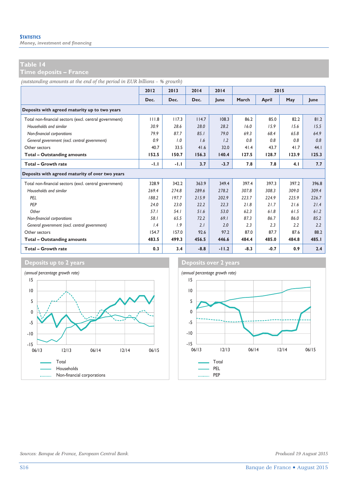*Money, investment and financing* 

**Time deposits – France** 

*(outstanding amounts at the end of the period in EUR billions – % growth)*

|                                                        | 2012   | 2013   | 2014   | 2014    |        | 2015   |       |       |
|--------------------------------------------------------|--------|--------|--------|---------|--------|--------|-------|-------|
|                                                        | Dec.   | Dec.   | Dec.   | June    | March  | April  | May   | lune  |
| Deposits with agreed maturity up to two years          |        |        |        |         |        |        |       |       |
| Total non-financial sectors (excl. central government) | 111.8  | 117.3  | 114.7  | 108.3   | 86.2   | 85.0   | 82.2  | 81.2  |
| Households and similar                                 | 30.9   | 28.6   | 28.0   | 28.2    | 16.0   | 15.9   | 15.6  | 15.5  |
| Non-financial corporations                             | 79.9   | 87.7   | 85.1   | 79.0    | 69.3   | 68.4   | 65.8  | 64.9  |
| General government (excl. central government)          | 0.9    | 1.0    | 1.6    | 1.2     | 0.8    | 0.8    | 0.8   | 0.8   |
| Other sectors                                          | 40.7   | 33.5   | 41.6   | 32.0    | 41.4   | 43.7   | 41.7  | 44.1  |
| <b>Total - Outstanding amounts</b>                     | 152.5  | 150.7  | 156.3  | 140.4   | 127.5  | 128.7  | 123.9 | 125.3 |
| Total - Growth rate                                    | $-1.1$ | $-1.1$ | 3.7    | $-3.7$  | 7.8    | 7.8    | 4.1   | 7.7   |
| Deposits with agreed maturity of over two years        |        |        |        |         |        |        |       |       |
| Total non-financial sectors (excl. central government) | 328.9  | 342.2  | 363.9  | 349.4   | 397.4  | 397.3  | 397.2 | 396.8 |
| Households and similar                                 | 269.4  | 274.8  | 289.6  | 278.2   | 307.8  | 308.3  | 309.0 | 309.4 |
| PFI                                                    | 188.2  | 197.7  | 215.9  | 202.9   | 223.7  | 224.9  | 225.9 | 226.7 |
| PEP                                                    | 24.0   | 23.0   | 22.2   | 22.3    | 21.8   | 21.7   | 21.6  | 21.4  |
| Other                                                  | 57.1   | 54.1   | 51.6   | 53.0    | 62.3   | 61.8   | 61.5  | 61.2  |
| Non-financial corporations                             | 58.1   | 65.5   | 72.2   | 69.1    | 87.3   | 86.7   | 86.0  | 85.2  |
| General government (excl. central government)          | 1.4    | 1.9    | 2.1    | 2.0     | 2.3    | 2.3    | 2.2   | 2.2   |
| Other sectors                                          | 154.7  | 157.0  | 92.6   | 97.2    | 87.0   | 87.7   | 87.6  | 88.2  |
| <b>Total - Outstanding amounts</b>                     | 483.5  | 499.3  | 456.5  | 446.6   | 484.4  | 485.0  | 484.8 | 485.1 |
| Total - Growth rate                                    | 0.3    | 3.4    | $-8.8$ | $-11.2$ | $-8.3$ | $-0.7$ | 0.9   | 2.4   |



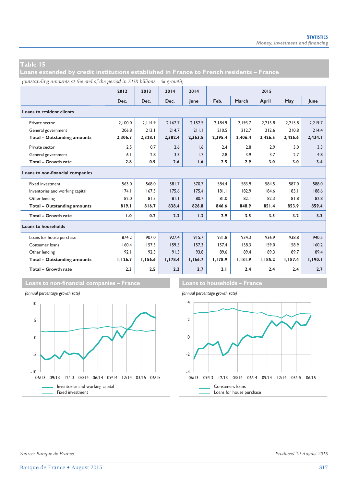**Loans extended by credit institutions established in France to French residents – France** 

*(outstanding amounts at the end of the period in EUR billions – % growth)*

|                                    | 2012    | 2013    | 2014    | 2014    |         |         | 2015    |         |         |
|------------------------------------|---------|---------|---------|---------|---------|---------|---------|---------|---------|
|                                    | Dec.    | Dec.    | Dec.    | lune    | Feb.    | March   | April   | May     | lune    |
| <b>Loans to resident clients</b>   |         |         |         |         |         |         |         |         |         |
| Private sector                     | 2.100.0 | 2.114.9 | 2.167.7 | 2,152.5 | 2.184.9 | 2.193.7 | 2.213.8 | 2.215.8 | 2.219.7 |
| General government                 | 206.8   | 213.1   | 214.7   | 211.1   | 210.5   | 212.7   | 212.6   | 210.8   | 214.4   |
| <b>Total - Outstanding amounts</b> | 2,306.7 | 2,328.1 | 2,382.4 | 2,363.5 | 2,395.4 | 2,406.4 | 2,426.5 | 2,426.6 | 2,434.1 |
| Private sector                     | 2.5     | 0.7     | 2.6     | 1.6     | 2.4     | 2.8     | 2.9     | 3.0     | 3.3     |
| General government                 | 6.1     | 2.8     | 3.3     | 1.7     | 2.8     | 3.9     | 3.7     | 2.7     | 4.8     |
| <b>Total - Growth rate</b>         | 2.8     | 0.9     | 2.6     | 1.6     | 2.5     | 2.9     | 3.0     | 3.0     | 3.4     |
| Loans to non-financial companies   |         |         |         |         |         |         |         |         |         |
| Fixed investment                   | 563.0   | 568.0   | 581.7   | 570.7   | 584.4   | 583.9   | 584.5   | 587.0   | 588.0   |
| Inventories and working capital    | 174.1   | 167.5   | 175.6   | 175.4   | 181.1   | 182.9   | 184.6   | 185.1   | 188.6   |
| Other lending                      | 82.0    | 81.3    | 81.1    | 80.7    | 81.0    | 82.1    | 82.3    | 81.8    | 82.8    |
| <b>Total - Outstanding amounts</b> | 819.1   | 816.7   | 838.4   | 826.8   | 846.6   | 848.9   | 851.4   | 853.9   | 859.4   |
| <b>Total - Growth rate</b>         | 1.0     | 0.2     | 2.3     | 1.3     | 2.9     | 3.5     | 3.5     | 3.2     | 3.3     |
| <b>Loans to households</b>         |         |         |         |         |         |         |         |         |         |
| Loans for house purchase           | 874.2   | 907.0   | 927.4   | 915.7   | 931.8   | 934.3   | 936.9   | 938.8   | 940.5   |
| Consumer loans                     | 160.4   | 157.3   | 159.5   | 157.3   | 157.4   | 158.3   | 159.0   | 158.9   | 160.2   |
| Other lending                      | 92.1    | 92.3    | 91.5    | 93.8    | 89.6    | 89.4    | 89.3    | 89.7    | 89.4    |
| <b>Total - Outstanding amounts</b> | 1,126.7 | 1,156.6 | 1,178.4 | 1,166.7 | 1,178.9 | 1,181.9 | 1,185.2 | 1,187.4 | 1,190.1 |
| Total - Growth rate                | 2.3     | 2.5     | 2.2     | 2.7     | 2.1     | 2.4     | 2.4     | 2.4     | 2.7     |



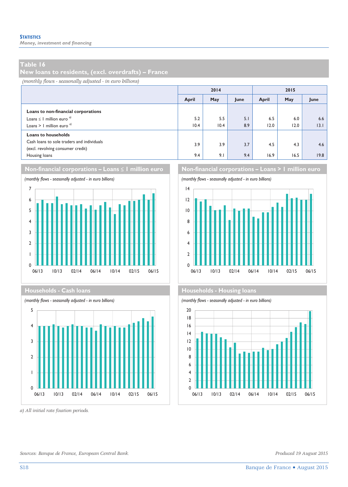*Money, investment and financing* 

#### **Table 16**

**New loans to residents, (excl. overdrafts) – France** 

*(monthly flows - seasonally adjusted - in euro billions)*

|                                                                                                                            |             | 2014        |            | 2015        |             |                      |  |
|----------------------------------------------------------------------------------------------------------------------------|-------------|-------------|------------|-------------|-------------|----------------------|--|
|                                                                                                                            | April       | May         | June       | April       | May         | June                 |  |
| Loans to non-financial corporations<br>Loans $\leq$ 1 million euro <sup><math>a</math></sup><br>Loans > 1 million euro $a$ | 5.2<br>10.4 | 5.5<br>10.4 | 5.1<br>8.9 | 6.5<br>12.0 | 6.0<br>12.0 | 6.6<br>$ 3.1\rangle$ |  |
| <b>Loans to households</b>                                                                                                 |             |             |            |             |             |                      |  |
| Cash loans to sole traders and individuals<br>(excl. revolving consumer credit)                                            | 3.9         | 3.9         | 3.7        | 4.5         | 4.3         | 4.6                  |  |
| Housing loans                                                                                                              | 9.4         | 9.1         | 9.4        | 16.9        | 16.5        | 19.8                 |  |

### **Non-financial corporations – Loans ≤ 1 million euro Non-financial corporations – Loans > 1 million euro**





*a) All initial rate fixation periods.* 



#### **Households - Cash loans Households - Cash loans**



*Sources: Banque de France, European Central Bank. Produced 19 August 2015*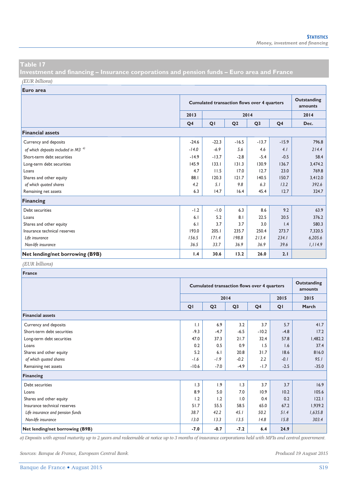**Investment and financing – Insurance corporations and pension funds – Euro area and France**  *(EUR billions)*

**Euro area**

|                                          |                | <b>Cumulated transaction flows over 4 quarters</b> |                |                |                |         |  |  |
|------------------------------------------|----------------|----------------------------------------------------|----------------|----------------|----------------|---------|--|--|
|                                          | 2013           | 2014                                               |                |                |                |         |  |  |
|                                          | Q <sub>4</sub> | QI                                                 | Q <sub>2</sub> | Q <sub>3</sub> | Q <sub>4</sub> | Dec.    |  |  |
| <b>Financial assets</b>                  |                |                                                    |                |                |                |         |  |  |
| Currency and deposits                    | $-24.6$        | $-22.3$                                            | $-16.5$        | $-13.7$        | $-15.9$        | 796.8   |  |  |
| of which deposits included in M3 $^{a)}$ | $-14.0$        | $-6.9$                                             | 5.6            | 4.6            | 4.1            | 214.4   |  |  |
| Short-term debt securities               | $-14.9$        | $-13.7$                                            | $-2.8$         | $-5.4$         | $-0.5$         | 58.4    |  |  |
| Long-term debt securities                | 145.9          | 133.1                                              | 131.3          | 130.9          | 136.7          | 3,474.2 |  |  |
| Loans                                    | 4.7            | 11.5                                               | 17.0           | 12.7           | 23.0           | 769.8   |  |  |
| Shares and other equity                  | 88.1           | 120.3                                              | 121.7          | 140.5          | 150.7          | 3,412.0 |  |  |
| of which quoted shares                   | 4.2            | 5.1                                                | 9.8            | 6.3            | 13.2           | 392.6   |  |  |
| Remaining net assets                     | 6.3            | 14.7                                               | 16.4           | 45.4           | 12.7           | 324.7   |  |  |
| <b>Financing</b>                         |                |                                                    |                |                |                |         |  |  |
| Debt securities                          | $-1.2$         | $-1.0$                                             | 6.3            | 8.6            | 9.2            | 63.9    |  |  |
| Loans                                    | 6.1            | 5.2                                                | 8.1            | 22.5           | 20.5           | 376.2   |  |  |
| Shares and other equity                  | 6.1            | 3.7                                                | 3.7            | 3.0            | 1.4            | 580.3   |  |  |
| Insurance technical reserves             | 193.0          | 205.1                                              | 235.7          | 250.4          | 273.7          | 7,320.5 |  |  |
| Life insurance                           | 156.5          | 171.4                                              | 198.8          | 213.4          | 234.1          | 6,205.6 |  |  |
| Non-life insurance                       | 36.5           | 33.7                                               | 36.9           | 36.9           | 39.6           | 1,114.9 |  |  |
| Net lending/net borrowing (B9B)          | 1.4            | 30.6                                               | 13.2           | 26.0           | 2.1            |         |  |  |

#### *(EUR billions)*

| France                           |         |                                                    |                |                |        |         |  |  |  |
|----------------------------------|---------|----------------------------------------------------|----------------|----------------|--------|---------|--|--|--|
|                                  |         | <b>Cumulated transaction flows over 4 quarters</b> |                |                |        |         |  |  |  |
|                                  |         | 2015                                               | 2015           |                |        |         |  |  |  |
|                                  | QI      | Q <sub>2</sub>                                     | Q <sub>3</sub> | Q <sub>4</sub> | QI     | March   |  |  |  |
| <b>Financial assets</b>          |         |                                                    |                |                |        |         |  |  |  |
| Currency and deposits            | 1.1     | 6.9                                                | 3.2            | 3.7            | 5.7    | 41.7    |  |  |  |
| Short-term debt securities       | $-9.3$  | $-4.7$                                             | $-6.5$         | $-10.2$        | $-4.8$ | 17.2    |  |  |  |
| Long-term debt securities        | 47.0    | 37.3                                               | 21.7           | 32.4           | 57.8   | 1,482.2 |  |  |  |
| Loans                            | 0.2     | 0.5                                                | 0.9            | 1.5            | 1.6    | 37.4    |  |  |  |
| Shares and other equity          | 5.2     | 6.1                                                | 20.8           | 31.7           | 18.6   | 816.0   |  |  |  |
| of which quoted shares           | $-1.6$  | $-1.9$                                             | $-0.2$         | 2.2            | $-0.1$ | 95.1    |  |  |  |
| Remaining net assets             | $-10.6$ | $-7.0$                                             | $-4.9$         | $-1.7$         | $-2.5$ | $-35.0$ |  |  |  |
| Financing                        |         |                                                    |                |                |        |         |  |  |  |
| Debt securities                  | 1.3     | 1.9                                                | 1.3            | 3.7            | 3.7    | 16.9    |  |  |  |
| Loans                            | 8.9     | 5.0                                                | 7.0            | 10.9           | 10.2   | 105.6   |  |  |  |
| Shares and other equity          | 1.2     | 1.2                                                | 1.0            | 0.4            | 0.2    | 122.1   |  |  |  |
| Insurance technical reserves     | 51.7    | 55.5                                               | 58.5           | 65.0           | 67.2   | 1,939.2 |  |  |  |
| Life insurance and pension funds | 38.7    | 42.2                                               | 45.1           | 50.2           | 51.4   | 1,635.8 |  |  |  |
| Non-life insurance               | 13.0    | 13.3                                               | 13.5           | 14.8           | 15.8   | 303.4   |  |  |  |
| Net lending/net borrowing (B9B)  | $-7.0$  | $-0.7$                                             | $-7.2$         | 6.4            | 24.9   |         |  |  |  |

*a) Deposits with agreed maturity up to 2 years and redeemable at notice up to 3 months of insurance corporations held with MFIs and central government.* 

*Sources: Banque de France, European Central Bank. Produced 19 August 2015*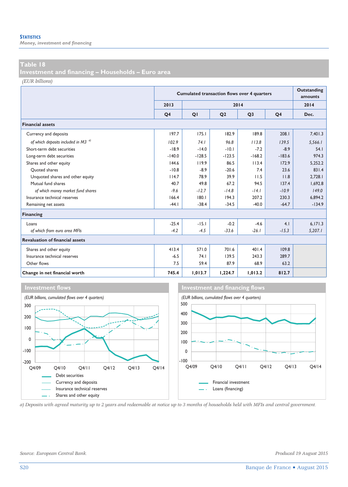*Money, investment and financing* 

#### **Table 18**

**Investment and financing – Households – Euro area** 

*(EUR billions)*

|                                                |                | <b>Cumulated transaction flows over 4 quarters</b> | Outstanding<br>amounts |                |                |          |
|------------------------------------------------|----------------|----------------------------------------------------|------------------------|----------------|----------------|----------|
|                                                | 2013           |                                                    |                        | 2014           |                | 2014     |
|                                                | O <sub>4</sub> | QI                                                 | Q <sub>2</sub>         | Q <sub>3</sub> | Q <sub>4</sub> | Dec.     |
| <b>Financial assets</b>                        |                |                                                    |                        |                |                |          |
| Currency and deposits                          | 197.7          | 175.1                                              | 182.9                  | 189.8          | 208.1          | 7,401.3  |
| of which deposits included in M3 <sup>a)</sup> | 102.9          | 74.1                                               | 96.8                   | 113.8          | 139.5          | 5,566.1  |
| Short-term debt securities                     | $-18.9$        | $-14.0$                                            | $-10.1$                | $-7.2$         | $-8.9$         | 54.1     |
| Long-term debt securities                      | $-140.0$       | $-128.5$                                           | $-123.5$               | $-168.2$       | $-183.6$       | 974.3    |
| Shares and other equity                        | 144.6          | 119.9                                              | 86.5                   | 113.4          | 172.9          | 5.252.2  |
| Ouoted shares                                  | $-10.8$        | $-8.9$                                             | $-20.6$                | 7.4            | 23.6           | 831.4    |
| Unquoted shares and other equity               | 114.7          | 78.9                                               | 39.9                   | 11.5           | 11.8           | 2.728.1  |
| Mutual fund shares                             | 40.7           | 49.8                                               | 67.2                   | 94.5           | 137.4          | 1.692.8  |
| of which money market fund shares              | $-9.6$         | $-12.7$                                            | $-14.8$                | $-14.1$        | $-10.9$        | 149.0    |
| Insurance technical reserves                   | 166.4          | 180.1                                              | 194.3                  | 207.2          | 230.3          | 6,894.2  |
| Remaining net assets                           | $-44.1$        | $-38.4$                                            | $-34.5$                | $-40.0$        | $-64.7$        | $-134.9$ |
| Financing                                      |                |                                                    |                        |                |                |          |
| Loans                                          | $-25.4$        | $-15.1$                                            | $-0.2$                 | $-4.6$         | 4.1            | 6,171.3  |
| of which from euro area MFIs                   | $-4.2$         | $-4.5$                                             | $-33.6$                | $-26.1$        | $-15.3$        | 5,207.1  |
| <b>Revaluation of financial assets</b>         |                |                                                    |                        |                |                |          |
| Shares and other equity                        | 413.4          | 571.0                                              | 701.6                  | 401.4          | 109.8          |          |
| Insurance technical reserves                   | $-6.5$         | 74.1                                               | 139.5                  | 243.3          | 289.7          |          |
| Other flows                                    | 7.5            | 59.4                                               | 87.9                   | 68.9           | 63.2           |          |
| Change in net financial worth                  | 745.4          | 1,013.7                                            | 1,224.7                | 1,013.2        | 812.7          |          |





*a) Deposits with agreed maturity up to 2 years and redeemable at notice up to 3 months of households held with MFIs and central government.* 

*Source: European Central Bank. Produced 19 August 2015*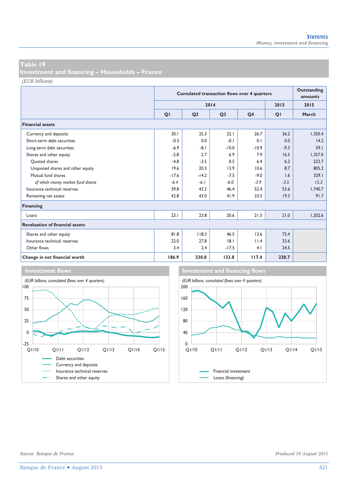**Investment and financing – Households – France** 

*(EUR billions)*

|                                        |         | <b>Cumulated transaction flows over 4 quarters</b> |                |                |        |         |  |  |
|----------------------------------------|---------|----------------------------------------------------|----------------|----------------|--------|---------|--|--|
|                                        |         |                                                    | 2014           |                | 2015   | 2015    |  |  |
|                                        | QI      | Q <sub>2</sub>                                     | Q <sub>3</sub> | Q <sub>4</sub> | QI     | March   |  |  |
| <b>Financial assets</b>                |         |                                                    |                |                |        |         |  |  |
| Currency and deposits                  | 30.1    | 25.3                                               | 22.1           | 26.7           | 36.2   | 1,350.4 |  |  |
| Short-term debt securities             | $-0.3$  | 0.0                                                | $-0.1$         | 0.1            | 0.0    | 14.2    |  |  |
| Long-term debt securities              | $-6.9$  | $-8.1$                                             | $-10.0$        | $-10.9$        | $-9.3$ | 59.1    |  |  |
| Shares and other equity                | $-2.8$  | 2.7                                                | 6.9            | 7.9            | 16.5   | 1,357.0 |  |  |
| Ouoted shares                          | $-4.8$  | $-3.5$                                             | 0.5            | 6.4            | 6.2    | 222.7   |  |  |
| Unquoted shares and other equity       | 19.6    | 20.3                                               | 13.9           | 10.6           | 8.7    | 805.2   |  |  |
| Mutual fund shares                     | $-17.6$ | $-14.2$                                            | $-7.5$         | $-9.0$         | 1.6    | 329.1   |  |  |
| of which money market fund shares      | $-6.4$  | $-6.1$                                             | $-6.0$         | $-3.9$         | $-3.5$ | 15.3    |  |  |
| Insurance technical reserves           | 39.8    | 43.2                                               | 46.4           | 52.4           | 53.6   | 1,740.7 |  |  |
| Remaining net assets                   | 42.8    | 43.0                                               | 41.9           | 33.5           | 19.3   | 91.7    |  |  |
| Financing                              |         |                                                    |                |                |        |         |  |  |
| Loans                                  | 23.1    | 23.8                                               | 20.6           | 21.5           | 21.0   | 1,202.6 |  |  |
| <b>Revaluation of financial assets</b> |         |                                                    |                |                |        |         |  |  |
| Shares and other equity                | 81.8    | 118.3                                              | 46.5           | 13.6           | 75.4   |         |  |  |
| Insurance technical reserves           | 22.0    | 27.8                                               | 8.1            | 11.4           | 33.6   |         |  |  |
| Other flows                            | 3.4     | 2.4                                                | $-17.5$        | 4.1            | 24.5   |         |  |  |
| Change in net financial worth          | 186.9   | 230.8                                              | 133.8          | 117.4          | 228.7  |         |  |  |



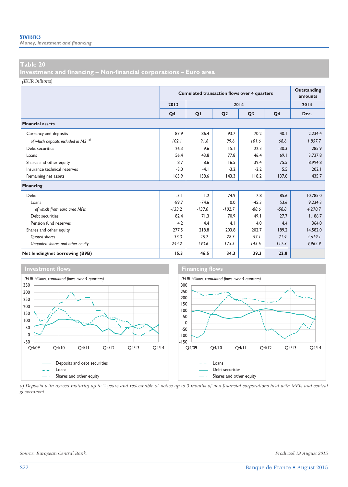*Money, investment and financing* 

#### **Table 20**

**Investment and financing – Non-financial corporations – Euro area** 

*(EUR billions)*

|                                                |                | <b>Cumulated transaction flows over 4 quarters</b> | <b>Outstanding</b><br>amounts |                |                |          |
|------------------------------------------------|----------------|----------------------------------------------------|-------------------------------|----------------|----------------|----------|
|                                                | 2013           |                                                    |                               | 2014           |                | 2014     |
|                                                | Q <sub>4</sub> | QI                                                 | Q <sub>2</sub>                | Q <sub>3</sub> | Q <sub>4</sub> | Dec.     |
| <b>Financial assets</b>                        |                |                                                    |                               |                |                |          |
| Currency and deposits                          | 87.9           | 86.4                                               | 93.7                          | 70.2           | 40.1           | 2,234.4  |
| of which deposits included in M3 <sup>a)</sup> | 102.1          | 91.6                                               | 99.6                          | 101.6          | 68.6           | 1,857.7  |
| Debt securities                                | $-26.3$        | $-9.6$                                             | $-15.1$                       | $-22.3$        | $-30.3$        | 285.9    |
| Loans                                          | 56.4           | 43.8                                               | 77.8                          | 46.4           | 69.1           | 3.727.8  |
| Shares and other equity                        | 8.7            | $-8.6$                                             | 16.5                          | 39.4           | 75.5           | 8.994.8  |
| Insurance technical reserves                   | $-3.0$         | $-4.1$                                             | $-3.2$                        | $-2.2$         | 5.5            | 202.1    |
| Remaining net assets                           | 165.9          | 158.6                                              | 143.3                         | 118.2          | 137.8          | 435.7    |
| Financing                                      |                |                                                    |                               |                |                |          |
| Debt                                           | $-3.1$         | 1.2                                                | 74.9                          | 7.8            | 85.6           | 10,785.0 |
| Loans                                          | $-89.7$        | $-74.6$                                            | 0.0                           | $-45.3$        | 53.6           | 9.234.3  |
| of which from euro area MFIs                   | $-133.2$       | $-137.0$                                           | $-102.7$                      | $-88.6$        | $-58.8$        | 4,270.7  |
| Debt securities                                | 82.4           | 71.3                                               | 70.9                          | 49.1           | 27.7           | 1,186.7  |
| Pension fund reserves                          | 4.2            | 4.4                                                | 4.1                           | 4.0            | 4.4            | 364.0    |
| Shares and other equity                        | 277.5          | 218.8                                              | 203.8                         | 202.7          | 189.2          | 14,582.0 |
| Quoted shares                                  | 33.3           | 25.2                                               | 28.3                          | 57.1           | 71.9           | 4,619.1  |
| Unquoted shares and other equity               | 244.2          | 193.6                                              | 175.5                         | 145.6          | 117.3          | 9,962.9  |
| Net lending/net borrowing (B9B)                | 15.3           | 46.5                                               | 34.3                          | 39.3           | 22.8           |          |



*a) Deposits with agreed maturity up to 2 years and redeemable at notice up to 3 months of non-financial corporations held with MFIs and central government.*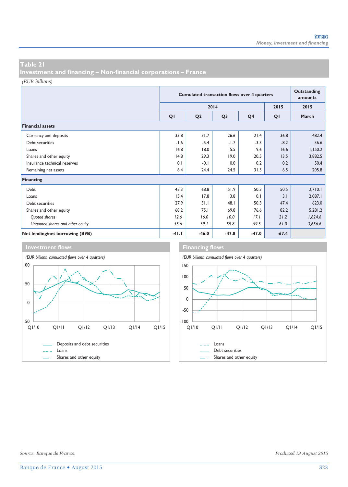**Investment and financing – Non-financial corporations – France** 

*(EUR billions)*

|                                  |         | <b>Cumulated transaction flows over 4 quarters</b> | Outstanding<br>amounts |                |         |         |
|----------------------------------|---------|----------------------------------------------------|------------------------|----------------|---------|---------|
|                                  |         |                                                    | 2014                   |                | 2015    | 2015    |
|                                  | QI      | Q <sub>2</sub>                                     | Q <sub>3</sub>         | Q <sub>4</sub> | QI      | March   |
| <b>Financial assets</b>          |         |                                                    |                        |                |         |         |
| Currency and deposits            | 33.8    | 31.7                                               | 26.6                   | 21.4           | 36.8    | 482.4   |
| Debt securities                  | $-1.6$  | $-5.4$                                             | $-1.7$                 | $-3.3$         | $-8.2$  | 56.6    |
| Loans                            | 16.8    | 18.0                                               | 5.5                    | 9.6            | 16.6    | 1,150.2 |
| Shares and other equity          | 14.8    | 29.3                                               | 19.0                   | 20.5           | 13.5    | 3,882.5 |
| Insurance technical reserves     | 0.1     | $-0.1$                                             | 0.0                    | 0.2            | 0.2     | 50.4    |
| Remaining net assets             | 6.4     | 24.4                                               | 24.5                   | 31.5           | 6.5     | 205.8   |
| Financing                        |         |                                                    |                        |                |         |         |
| Debt                             | 43.3    | 68.8                                               | 51.9                   | 50.3           | 50.5    | 2,710.1 |
| Loans                            | 15.4    | 17.8                                               | 3.8                    | 0.1            | 3.1     | 2,087.1 |
| Debt securities                  | 27.9    | 51.1                                               | 48.1                   | 50.3           | 47.4    | 623.0   |
| Shares and other equity          | 68.2    | 75.1                                               | 69.8                   | 76.6           | 82.2    | 5,281.2 |
| Quoted shares                    | 12.6    | 16.0                                               | 10.0                   | 17.1           | 21.2    | 1,624.6 |
| Unquoted shares and other equity | 55.6    | 59.1                                               | 59.8                   | 59.5           | 61.0    | 3,656.6 |
| Net lending/net borrowing (B9B)  | $-41.1$ | $-46.0$                                            | $-47.8$                | $-47.0$        | $-67.4$ |         |

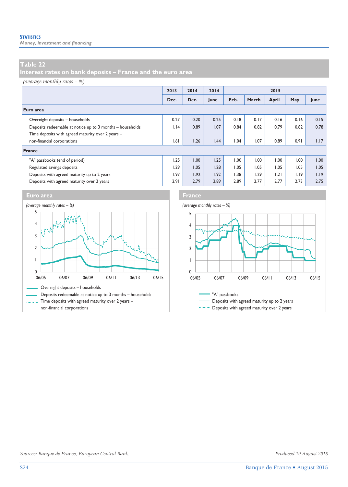*Money, investment and financing* 

### **Table 22**

**Interest rates on bank deposits – France and the euro area** 

#### *(average monthly rates – %)*

|                                                           | 2013 | 2014 | 2014 | 2015 |       |       |      |      |
|-----------------------------------------------------------|------|------|------|------|-------|-------|------|------|
|                                                           | Dec. | Dec. | June | Feb. | March | April | May  | June |
| Euro area                                                 |      |      |      |      |       |       |      |      |
| Overnight deposits - households                           | 0.27 | 0.20 | 0.25 | 0.18 | 0.17  | 0.16  | 0.16 | 0.15 |
| Deposits redeemable at notice up to 3 months - households | 1.14 | 0.89 | 1.07 | 0.84 | 0.82  | 0.79  | 0.82 | 0.78 |
| Time deposits with agreed maturity over 2 years -         |      |      |      |      |       |       |      |      |
| non-financial corporations                                | 1.61 | 1.26 | 1.44 | 1.04 | 1.07  | 0.89  | 0.91 | 1.17 |
| France                                                    |      |      |      |      |       |       |      |      |
| "A" passbooks (end of period)                             | 1.25 | 1.00 | 1.25 | 1.00 | 00.1  | 00.1  | 00.1 | 1.00 |
| Regulated savings deposits                                | 1.29 | 1.05 | 1.28 | 1.05 | 1.05  | 1.05  | 1.05 | 1.05 |
| Deposits with agreed maturity up to 2 years               | 1.97 | 1.92 | 1.92 | 1.38 | 1.29  | 1.21  | 1.19 | 1.19 |
| Deposits with agreed maturity over 2 years                | 2.91 | 2.79 | 2.89 | 2.89 | 2.77  | 2.77  | 2.73 | 2.75 |





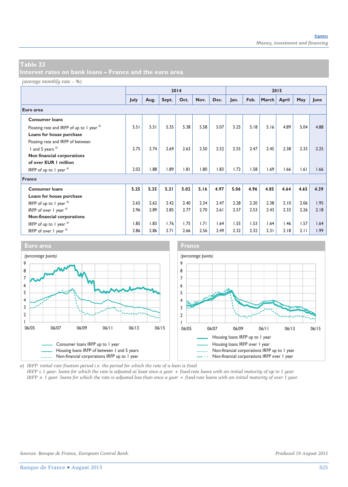*(average monthly rate – %)*

|                                               |      | 2014 |       |      |      | 2015 |      |      |       |       |      |      |
|-----------------------------------------------|------|------|-------|------|------|------|------|------|-------|-------|------|------|
|                                               | July | Aug. | Sept. | Oct. | Nov. | Dec. | Jan. | Feb. | March | April | May  | June |
| Euro area                                     |      |      |       |      |      |      |      |      |       |       |      |      |
| <b>Consumer loans</b>                         |      |      |       |      |      |      |      |      |       |       |      |      |
| Floating rate and IRFP of up to 1 year a)     | 5.51 | 5.51 | 5.35  | 5.38 | 5.58 | 5.07 | 5.25 | 5.18 | 5.16  | 4.89  | 5.04 | 4.88 |
| Loans for house purchase                      |      |      |       |      |      |      |      |      |       |       |      |      |
| Floating rate and IRFP of between             |      |      |       |      |      |      |      |      |       |       |      |      |
| I and 5 years <sup>a)</sup>                   | 2.75 | 2.74 | 2.69  | 2.63 | 2.50 | 2.52 | 2.55 | 2.47 | 2.45  | 2.38  | 2.33 | 2.25 |
| Non financial corporations                    |      |      |       |      |      |      |      |      |       |       |      |      |
| of over EUR   million                         |      |      |       |      |      |      |      |      |       |       |      |      |
| IRFP of up to 1 year $a^{(1)}$                | 2.02 | 1.88 | 1.89  | 1.81 | 1.80 | 1.83 | 1.72 | 1.58 | 1.69  | 1.66  | 1.61 | 1.66 |
| <b>France</b>                                 |      |      |       |      |      |      |      |      |       |       |      |      |
| <b>Consumer loans</b>                         | 5.25 | 5.35 | 5.21  | 5.02 | 5.16 | 4.97 | 5.06 | 4.96 | 4.85  | 4.64  | 4.65 | 4.39 |
| Loans for house purchase                      |      |      |       |      |      |      |      |      |       |       |      |      |
| IRFP of up to 1 year $a$ )                    | 2.65 | 2.62 | 2.42  | 2.40 | 2.34 | 2.47 | 2.28 | 2.20 | 2.38  | 2.10  | 2.06 | 1.95 |
| IRFP of over $1$ year $a^{(1)}$               | 2.96 | 2.89 | 2.85  | 2.77 | 2.70 | 2.61 | 2.57 | 2.53 | 2.43  | 2.33  | 2.26 | 2.18 |
| Non-financial corporations                    |      |      |       |      |      |      |      |      |       |       |      |      |
| IRFP of up to 1 year $a^{(1)}$                | 1.85 | 1.83 | 1.76  | 1.75 | 1.71 | 1.64 | 1.55 | 1.53 | 1.64  | 1.46  | 1.57 | 1.64 |
| IRFP of over $\frac{1}{2}$ year $\frac{a}{2}$ | 2.86 | 2.86 | 2.71  | 2.66 | 2.56 | 2.49 | 2.32 | 2.32 | 2.31  | 2.18  | 2.11 | 1.99 |



*a) IRFP: initial rate fixation period i.e. the period for which the rate of a loan is fixed.* 

*IRFP ≤ 1 year: loans for which the rate is adjusted at least once a year + fixed-rate loans with an initial maturity of up to 1 year. IRFP > 1 year: loans for which the rate is adjusted less than once a year + fixed-rate loans with an initial maturity of over 1 year.*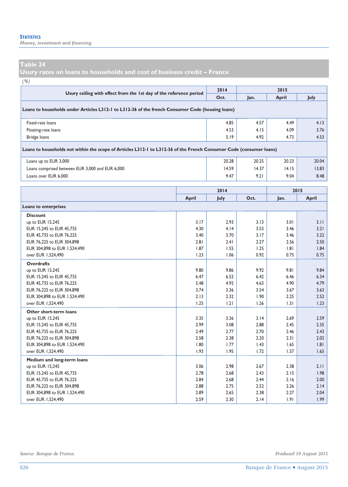*Money, investment and financing* 

**Usury rates on loans to households and cost of business credit – France** 

*(%)*

| (70)                                                                                                                |       |             |       |              |              |
|---------------------------------------------------------------------------------------------------------------------|-------|-------------|-------|--------------|--------------|
| Usury ceiling with effect from the 1st day of the reference period                                                  |       | 2014        |       | 2015         |              |
|                                                                                                                     |       | Oct.        | Jan.  | <b>April</b> | July         |
| Loans to households under Articles L312-1 to L312-36 of the french Consumer Code (housing loans)                    |       |             |       |              |              |
| Fixed-rate loans                                                                                                    |       | 4.85        | 4.57  | 4.49         | 4.13         |
| Floating-rate loans                                                                                                 |       | 4.53        | 4.15  | 4.09         | 3.76         |
| Bridge loans                                                                                                        |       | 5.19        | 4.92  | 4.73         | 4.53         |
| Loans to households not within the scope of Articles L312-1 to L312-36 of the French Consumer Code (consumer loans) |       |             |       |              |              |
| Loans up to EUR 3,000                                                                                               |       | 20.28       | 20.25 | 20.23        | 20.04        |
| Loans comprised between EUR 3,000 and EUR 6,000                                                                     | 14.59 | 14.37       | 14.15 | 13.83        |              |
| Loans over EUR 6,000                                                                                                | 9.47  | 9.21        | 9.04  | 8.48         |              |
|                                                                                                                     | 2015  |             |       |              |              |
|                                                                                                                     |       | 2014        |       |              |              |
|                                                                                                                     | April | <b>July</b> | Oct.  | Jan.         | April        |
| Loans to enterprises                                                                                                |       |             |       |              |              |
| <b>Discount</b>                                                                                                     |       |             |       |              |              |
| up to EUR 15,245                                                                                                    | 3.17  | 2.93        | 3.13  | 3.01         | 3.11         |
| EUR 15,245 to EUR 45,735                                                                                            | 4.30  | 4.14        | 3.53  | 3.46         | 3.21         |
| EUR 45.735 to EUR 76.225                                                                                            | 3.40  | 3.70        | 3.17  | 3.46         | 3.22         |
| EUR 76,225 to EUR 304,898                                                                                           | 2.81  | 2.41        | 2.27  | 2.56         |              |
| EUR 304,898 to EUR 1,524,490                                                                                        | 1.87  | 1.55        | 1.25  | 1.81         |              |
| over EUR 1.524.490                                                                                                  | 1.23  | 1.06        | 0.92  | 0.75         | 2.50<br>0.75 |
| <b>Overdrafts</b>                                                                                                   |       |             |       |              |              |
| up to EUR 15,245                                                                                                    | 9.80  | 9.86        | 9.92  | 9.81         | 9.84         |
| EUR 15,245 to EUR 45,735                                                                                            | 6.47  | 6.52        | 6.42  | 6.46         | 1.84<br>6.34 |

| EUR 15,245 to EUR 45,735     | 6.47 | 6.52 | 6.42 | 6.46 | 6.34 |
|------------------------------|------|------|------|------|------|
| EUR 45,735 to EUR 76,225     | 5.48 | 4.92 | 4.63 | 4.90 | 4.79 |
| EUR 76,225 to EUR 304,898    | 3.74 | 3.36 | 3.54 | 3.67 | 3.63 |
| EUR 304,898 to EUR 1,524,490 | 2.13 | 2.32 | 1.90 | 2.25 | 2.52 |
| over EUR 1,524,490           | 1.25 | 1.21 | 1.26 | 1.31 | 1.23 |
| Other short-term loans       |      |      |      |      |      |
| up to EUR 15,245             | 3.35 | 3.36 | 3.14 | 2.69 | 2.59 |
| EUR 15,245 to EUR 45,735     | 2.99 | 3.08 | 2.88 | 2.45 | 2.35 |
| EUR 45,735 to EUR 76,225     | 2.49 | 2.77 | 2.70 | 2.46 | 2.43 |
| EUR 76,225 to EUR 304,898    | 2.58 | 2.38 | 2.20 | 2.31 | 2.02 |
| EUR 304,898 to EUR 1,524,490 | 1.80 | 1.77 | 1.43 | 1.65 | 1.81 |
| over EUR 1,524,490           | 1.93 | 1.95 | 1.72 | 1.57 | 1.65 |
| Medium and long-term loans   |      |      |      |      |      |
| up to EUR 15,245             | 3.06 | 2.98 | 2.67 | 2.38 | 2.11 |
| EUR 15,245 to EUR 45,735     | 2.78 | 2.68 | 2.43 | 2.15 | 1.98 |
| EUR 45,735 to EUR 76,225     | 2.84 | 2.68 | 2.44 | 2.16 | 2.00 |
| EUR 76,225 to EUR 304,898    | 2.88 | 2.75 | 2.52 | 2.26 | 2.14 |
| EUR 304,898 to EUR 1,524,490 | 2.89 | 2.65 | 2.38 | 2.27 | 2.04 |
| over EUR 1,524,490           | 2.59 | 2.30 | 2.14 | 1.91 | 1.99 |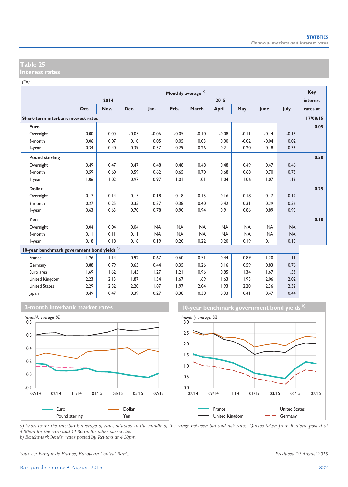*(%)*

|                                             |      | Monthly average <sup>a)</sup> |         |           |           |           |           |           |           |           | Key      |
|---------------------------------------------|------|-------------------------------|---------|-----------|-----------|-----------|-----------|-----------|-----------|-----------|----------|
|                                             |      | 2014                          |         |           |           |           | 2015      |           |           |           | interest |
|                                             | Oct. | Nov.                          | Dec.    | Jan.      | Feb.      | March     | April     | May       | June      | July      | rates at |
| Short-term interbank interest rates         |      |                               |         |           |           |           |           |           |           |           | 17/08/15 |
| Euro                                        |      |                               |         |           |           |           |           |           |           |           | 0.05     |
| Overnight                                   | 0.00 | 0.00                          | $-0.05$ | $-0.06$   | $-0.05$   | $-0.10$   | $-0.08$   | $-0.11$   | $-0.14$   | $-0.13$   |          |
| 3-month                                     | 0.06 | 0.07                          | 0.10    | 0.05      | 0.05      | 0.03      | 0.00      | $-0.02$   | $-0.04$   | 0.02      |          |
| I-year                                      | 0.34 | 0.40                          | 0.39    | 0.37      | 0.29      | 0.26      | 0.21      | 0.20      | 0.18      | 0.33      |          |
| <b>Pound sterling</b>                       |      |                               |         |           |           |           |           |           |           |           | 0.50     |
| Overnight                                   | 0.49 | 0.47                          | 0.47    | 0.48      | 0.48      | 0.48      | 0.48      | 0.49      | 0.47      | 0.46      |          |
| 3-month                                     | 0.59 | 0.60                          | 0.59    | 0.62      | 0.65      | 0.70      | 0.68      | 0.68      | 0.70      | 0.73      |          |
| I-year                                      | 1.06 | 1.02                          | 0.97    | 0.97      | 1.01      | 1.01      | 1.04      | 1.06      | 1.07      | 1.13      |          |
| <b>Dollar</b>                               |      |                               |         |           |           |           |           |           |           |           | 0.25     |
| Overnight                                   | 0.17 | 0.14                          | 0.15    | 0.18      | 0.18      | 0.15      | 0.16      | 0.18      | 0.17      | 0.12      |          |
| 3-month                                     | 0.27 | 0.25                          | 0.35    | 0.37      | 0.38      | 0.40      | 0.42      | 0.31      | 0.39      | 0.36      |          |
| I-year                                      | 0.63 | 0.63                          | 0.70    | 0.78      | 0.90      | 0.94      | 0.91      | 0.86      | 0.89      | 0.90      |          |
| Yen                                         |      |                               |         |           |           |           |           |           |           |           | 0.10     |
| Overnight                                   | 0.04 | 0.04                          | 0.04    | <b>NA</b> | <b>NA</b> | <b>NA</b> | <b>NA</b> | <b>NA</b> | <b>NA</b> | <b>NA</b> |          |
| 3-month                                     | 0.11 | 0.11                          | 0.11    | <b>NA</b> | <b>NA</b> | <b>NA</b> | <b>NA</b> | <b>NA</b> | <b>NA</b> | <b>NA</b> |          |
| I-year                                      | 0.18 | 0.18                          | 0.18    | 0.19      | 0.20      | 0.22      | 0.20      | 0.19      | 0.11      | 0.10      |          |
| 10-year benchmark government bond yields b) |      |                               |         |           |           |           |           |           |           |           |          |
| France                                      | 1.26 | 1.14                          | 0.92    | 0.67      | 0.60      | 0.51      | 0.44      | 0.89      | 1.20      | 1.11      |          |
| Germany                                     | 0.88 | 0.79                          | 0.65    | 0.44      | 0.35      | 0.26      | 0.16      | 0.59      | 0.83      | 0.76      |          |
| Euro area                                   | 1.69 | 1.62                          | 1.45    | 1.27      | 1.21      | 0.96      | 0.85      | 1.34      | 1.67      | 1.53      |          |
| United Kingdom                              | 2.23 | 2.13                          | 1.87    | 1.54      | 1.67      | 1.69      | 1.63      | 1.93      | 2.06      | 2.02      |          |
| <b>United States</b>                        | 2.29 | 2.32                          | 2.20    | 1.87      | 1.97      | 2.04      | 1.93      | 2.20      | 2.36      | 2.32      |          |
| Japan                                       | 0.49 | 0.47                          | 0.39    | 0.27      | 0.38      | 0.38      | 0.33      | 0.41      | 0.47      | 0.44      |          |



**3-month interbank market rates 10-year benchmark government bond yields b)**



*a) Short-term: the interbank average of rates situated in the middle of the range between bid and ask rates. Quotes taken from Reuters, posted at 4.30pm for the euro and 11.30am for other currencies. b) Benchmark bonds: rates posted by Reuters at 4.30pm.* 

*Sources: Banque de France, European Central Bank. Produced 19 August 2015*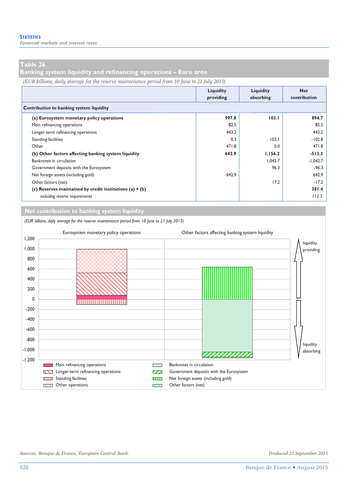**Banking system liquidity and refinancing operations – Euro area** 

*(EUR billions, daily average for the reserve maintenance period from 10 June to 21 July 2015)*

|                                                            | Liquidity<br>providing | Liquidity<br>absorbing | <b>Net</b><br>contribution |
|------------------------------------------------------------|------------------------|------------------------|----------------------------|
| Contribution to banking system liquidity                   |                        |                        |                            |
| (a) Eurosystem monetary policy operations                  | 997.8                  | 103.1                  | 894.7                      |
| Main refinancing operations                                | 82.5                   |                        | 82.5                       |
| Longer-term refinancing operations                         | 443.2                  |                        | 443.2                      |
| <b>Standing facilities</b>                                 | 0.3                    | 103.1                  | $-102.8$                   |
| Other                                                      | 471.8                  | 0.0                    | 471.8                      |
| (b) Other factors affecting banking system liquidity       | 642.9                  | 1,156.2                | $-513.3$                   |
| Banknotes in circulation                                   |                        | 1.042.7                | $-1,042.7$                 |
| Government deposits with the Eurosystem                    |                        | 96.3                   | $-96.3$                    |
| Net foreign assets (including gold)                        | 642.9                  |                        | 642.9                      |
| Other factors (net)                                        |                        | 17.2                   | $-17.2$                    |
| (c) Reserves maintained by credit institutions (a) $+$ (b) |                        |                        | 381.4                      |
| including reserve requirements                             |                        |                        | 112.3                      |

**Net contribution to banking system liquidity**

*(EUR billions, daily average for the reserve maintenance period from 10 June to 21 July 2015)* Eurosystem monetary policy operations Other factors affecting banking system liquidity 1,200 liquidity 1,000 providing 800 600 400 200 0 -200 -400 -600 -800 liquidity -1,000 absorbing ,,,,,,,,,,,, -1,200 **EXECUTE Main refinancing operations Banknotes in circulation** Longer-term refinancing operations Government deposits with the Eurosystem Standing facilities **Net foreign assets (including gold)** Standing facilities  $\blacksquare$  $\overline{\mathbf{X}}$  Other operations  $\overline{\mathbf{X}}$  Other factors (net) D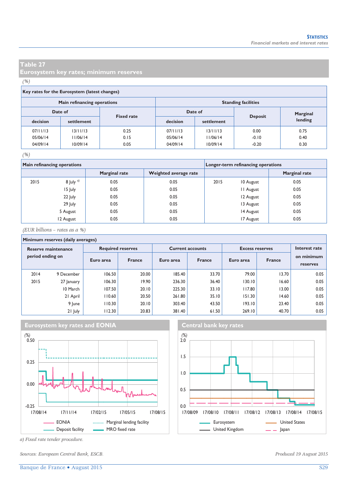**Eurosystem key rates; minimum reserves** 

#### *(%)*

#### **Key rates for the Eurosystem (latest changes)**

|          | Main refinancing operations |                   | <b>Standing facilities</b> |            |                |          |  |  |
|----------|-----------------------------|-------------------|----------------------------|------------|----------------|----------|--|--|
| Date of  |                             | <b>Fixed rate</b> |                            | Date of    |                | Marginal |  |  |
| decision | settlement                  |                   | decision                   | settlement | <b>Deposit</b> | lending  |  |  |
| 07/11/13 | 13/11/13                    | 0.25              | 07/11/13                   | 13/11/13   | 0.00           | 0.75     |  |  |
| 05/06/14 | 1/06/14                     | 0.15              | 05/06/14                   | 11/06/14   | $-0.10$        | 0.40     |  |  |
| 04/09/14 | 10/09/14                    | 0.05              | 04/09/14                   | 10/09/14   | $-0.20$        | 0.30     |  |  |

#### *(%)*

|      | Main refinancing operations |                      |                       | Longer-term refinancing operations |                  |                      |  |
|------|-----------------------------|----------------------|-----------------------|------------------------------------|------------------|----------------------|--|
|      |                             | <b>Marginal rate</b> | Weighted average rate |                                    |                  | <b>Marginal rate</b> |  |
| 2015 | 8 July $a$ )                | 0.05                 | 0.05                  | 2015                               | 10 August        | 0.05                 |  |
|      | 15 July                     | 0.05                 | 0.05                  |                                    | <b>II</b> August | 0.05                 |  |
|      | 22 July                     | 0.05                 | 0.05                  |                                    | 12 August        | 0.05                 |  |
|      | 29 July                     | 0.05                 | 0.05                  |                                    | 13 August        | 0.05                 |  |
|      | 5 August                    | 0.05                 | 0.05                  |                                    | 14 August        | 0.05                 |  |
|      | 12 August                   | 0.05                 | 0.05                  |                                    | 17 August        | 0.05                 |  |

*(EUR billions – rates as a %)*

### **Minimum reserves (daily averages)**

| Reserve maintenance |            |           | <b>Required reserves</b> |           | <b>Current accounts</b> | <b>Excess reserves</b> | Interest rate |                        |  |
|---------------------|------------|-----------|--------------------------|-----------|-------------------------|------------------------|---------------|------------------------|--|
| period ending on    |            | Euro area | <b>France</b>            | Euro area | <b>France</b>           | Euro area              | <b>France</b> | on minimum<br>reserves |  |
| 2014                | 9 December | 106.50    | 20.00                    | 185.40    | 33.70                   | 79.00                  | 13.70         | 0.05                   |  |
| 2015                | 27 January | 106.30    | 19.90                    | 236.30    | 36.40                   | 30.10                  | 16.60         | 0.05                   |  |
|                     | 10 March   | 107.50    | 20.10                    | 225.30    | 33.10                   | 117.80                 | 13.00         | 0.05                   |  |
|                     | 21 April   | 110.60    | 20.50                    | 261.80    | 35.10                   | 151.30                 | 14.60         | 0.05                   |  |
|                     | 9 June     | 110.30    | 20.10                    | 303.40    | 43.50                   | 193.10                 | 23.40         | 0.05                   |  |
|                     | 21 July    | 112.30    | 20.83                    | 381.40    | 61.50                   | 269.10                 | 40.70         | 0.05                   |  |







*a) Fixed rate tender procedure.* 

*Sources: European Central Bank, ESCB. Produced 19 August 2015*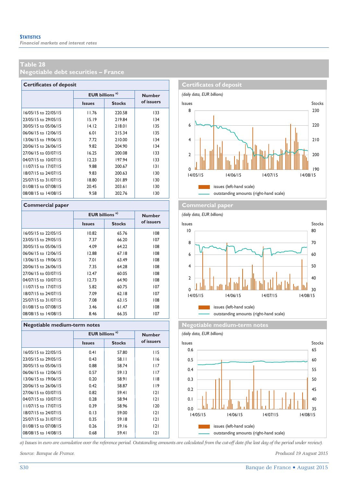**Negotiable debt securities – France** 

| <b>Certificates of deposit</b> |                                  |               |               |  |  |  |  |  |  |  |
|--------------------------------|----------------------------------|---------------|---------------|--|--|--|--|--|--|--|
|                                | <b>EUR billions<sup>a)</sup></b> |               | <b>Number</b> |  |  |  |  |  |  |  |
|                                | <b>Issues</b>                    | <b>Stocks</b> | of issuers    |  |  |  |  |  |  |  |
| 16/05/15 to 22/05/15           | 11.76                            | 220.58        | 133           |  |  |  |  |  |  |  |
| 23/05/15 to 29/05/15           | 15.19                            | 219.84        | 134           |  |  |  |  |  |  |  |
| 30/05/15 to 05/06/15           | 14.12                            | 218.01        | 135           |  |  |  |  |  |  |  |
| 06/06/15 to 12/06/15           | 6.01                             | 215.34        | 135           |  |  |  |  |  |  |  |
| 13/06/15 to 19/06/15           | 7.72                             | 210.00        | 134           |  |  |  |  |  |  |  |
| 20/06/15 to 26/06/15           | 9.82                             | 204.90        | 134           |  |  |  |  |  |  |  |
| 27/06/15 to 03/07/15           | 16.25                            | 200.08        | 133           |  |  |  |  |  |  |  |
| 04/07/15 to 10/07/15           | 12.23                            | 197.94        | 133           |  |  |  |  |  |  |  |
| 11/07/15 to 17/07/15           | 9.88                             | 200.67        | 3             |  |  |  |  |  |  |  |
| 18/07/15 to 24/07/15           | 9.83                             | 200.63        | 130           |  |  |  |  |  |  |  |
| 25/07/15 to 31/07/15           | 18.80                            | 201.89        | 130           |  |  |  |  |  |  |  |
| 01/08/15 to 07/08/15           | 20.45                            | 203.61        | 130           |  |  |  |  |  |  |  |
| 08/08/15 to 14/08/15           | 9.58                             | 202.76        | 130           |  |  |  |  |  |  |  |

|                      | <b>EUR billions<sup>a)</sup></b> |               | <b>Number</b> |
|----------------------|----------------------------------|---------------|---------------|
|                      | <b>Issues</b>                    | <b>Stocks</b> | of issuers    |
| 16/05/15 to 22/05/15 | 10.82                            | 65.76         | 108           |
| 23/05/15 to 29/05/15 | 7.37                             | 66.20         | 107           |
| 30/05/15 to 05/06/15 | 4.09                             | 64.22         | 108           |
| 06/06/15 to 12/06/15 | 12.88                            | 67.18         | 108           |
| 13/06/15 to 19/06/15 | 7.01                             | 63.49         | 108           |
| 20/06/15 to 26/06/15 | 7.35                             | 64.28         | 108           |
| 27/06/15 to 03/07/15 | 12.47                            | 60.05         | 108           |
| 04/07/15 to 10/07/15 | 12.73                            | 64.90         | 108           |
| 11/07/15 to 17/07/15 | 5.82                             | 60.75         | 107           |
| 18/07/15 to 24/07/15 | 7.09                             | 62.18         | 107           |
| 25/07/15 to 31/07/15 | 7.08                             | 63.15         | 108           |
| 01/08/15 to 07/08/15 | 3.46                             | 61.47         | 108           |
| 08/08/15 to 14/08/15 | 8.46                             | 66.35         | 107           |

|                      | <b>EUR billions<sup>a)</sup></b> |               | <b>Number</b> |  |  |  |  |  |  |  |  |  |  |
|----------------------|----------------------------------|---------------|---------------|--|--|--|--|--|--|--|--|--|--|
|                      | <b>Issues</b>                    | <b>Stocks</b> | of issuers    |  |  |  |  |  |  |  |  |  |  |
| 16/05/15 to 22/05/15 | 0.41                             | 57.80         | 115           |  |  |  |  |  |  |  |  |  |  |
| 23/05/15 to 29/05/15 | 0.43                             | 58.11         | 116           |  |  |  |  |  |  |  |  |  |  |
| 30/05/15 to 05/06/15 | 0.88                             | 58.74         | 117           |  |  |  |  |  |  |  |  |  |  |
| 06/06/15 to 12/06/15 | 0.57                             | 59.13         | 117           |  |  |  |  |  |  |  |  |  |  |
| 13/06/15 to 19/06/15 | 0.20                             | 58.91         | 118           |  |  |  |  |  |  |  |  |  |  |
| 20/06/15 to 26/06/15 | 0.42                             | 58.87         | 119           |  |  |  |  |  |  |  |  |  |  |
| 27/06/15 to 03/07/15 | 0.82                             | 59.41         | 2             |  |  |  |  |  |  |  |  |  |  |
| 04/07/15 to 10/07/15 | 0.28                             | 58.94         | 2             |  |  |  |  |  |  |  |  |  |  |
| 11/07/15 to 17/07/15 | 0.39                             | 58.96         | 120           |  |  |  |  |  |  |  |  |  |  |
| 18/07/15 to 24/07/15 | 0.13                             | 59.00         | 2             |  |  |  |  |  |  |  |  |  |  |
| 25/07/15 to 31/07/15 | 0.35                             | 59.18         | 2             |  |  |  |  |  |  |  |  |  |  |
| 01/08/15 to 07/08/15 | 0.26                             | 59.16         | 2             |  |  |  |  |  |  |  |  |  |  |
| 08/08/15 to 14/08/15 | 0.68                             | 59.41         | 2             |  |  |  |  |  |  |  |  |  |  |
|                      |                                  |               |               |  |  |  |  |  |  |  |  |  |  |



#### **Commercial paper Commercial paper Commercial paper**

*(daily data, EUR billions)* **Issues Stocks** Stocks Issues Stocks Stocks Stocks Issues Stocks Stocks issues (left-hand scale) outstanding amounts (right-hand scale) ∐IIII <sub>30</sub><br>⊥4/08/15 40 50 60 70 80 ا<u>اا ا</u>ا <sub>0</sub><br>14/05/15  $\overline{2}$ 4 6 8 10 14/05/15 14/06/15 14/07/15 14/08/15

**Regotiable medium-term notes Negotiable medium-term notes** 





*a) Issues in euro are cumulative over the reference period. Outstanding amounts are calculated from the cut-off date (the last day of the period under review).*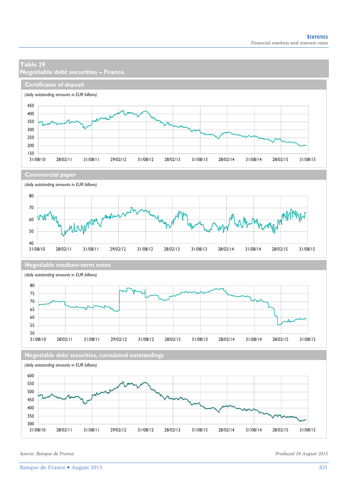### **Table 29 Negotiable debt securities – France Certificates of deposit** *(daily outstanding amounts in EUR billions)* 450 400 350 300 250 200  $150$   $-$ <br>31/08/10 31/08/10 28/02/11 31/08/11 29/02/12 31/08/12 28/02/13 31/08/13 28/02/14 31/08/14 28/02/15 31/08/15 **Commercial paper** *(daily outstanding amounts in EUR billions)* 80 70 MM 60 Anym 50  $40$   $-$ <br>31/08/10 31/08/10 28/02/11 31/08/11 29/02/12 31/08/12 28/02/13 31/08/13 28/02/14 31/08/14 28/02/15 31/08/15 **Negotiable medium-term notes** *(daily outstanding amounts in EUR billions)* 80 75 70 65 60 55  $\frac{50}{31/08/10}$ 31/08/10 28/02/11 31/08/11 29/02/12 31/08/12 28/02/13 31/08/13 28/02/14 31/08/14 28/02/15 31/08/15 **Negotiable debt securities, cumulated outstandings** *(daily outstanding amounts in EUR billions)* 600 550 500 450 400 350 300 31/08/10 28/02/11 31/08/11 29/02/12 31/08/12 28/02/13 31/08/13 28/02/14 31/08/14 28/02/15 31/08/15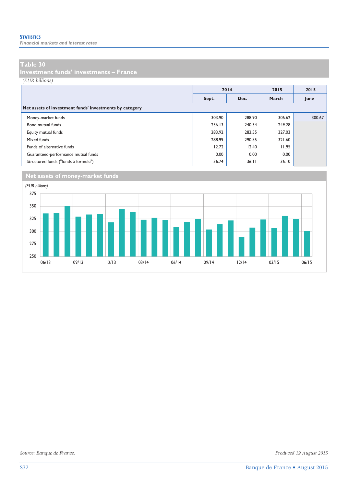*Financial markets and interest rates* 

#### **Table 30**

**Investment funds' investments – France** 

*(EUR billions)*

|                                                         |        | 2014   | 2015   | 2015   |
|---------------------------------------------------------|--------|--------|--------|--------|
|                                                         | Sept.  | Dec.   | March  | June   |
| Net assets of investment funds' investments by category |        |        |        |        |
| Money-market funds                                      | 303.90 | 288.90 | 306.62 | 300.67 |
| Bond mutual funds                                       | 236.13 | 240.34 | 249.28 |        |
| Equity mutual funds                                     | 283.92 | 282.55 | 327.03 |        |
| Mixed funds                                             | 288.99 | 290.55 | 321.60 |        |
| Funds of alternative funds                              | 12.72  | 12.40  | 11.95  |        |
| Guaranteed-performance mutual funds                     | 0.00   | 0.00   | 0.00   |        |
| Structured funds ("fonds à formule")                    | 36.74  | 36.11  | 36.10  |        |

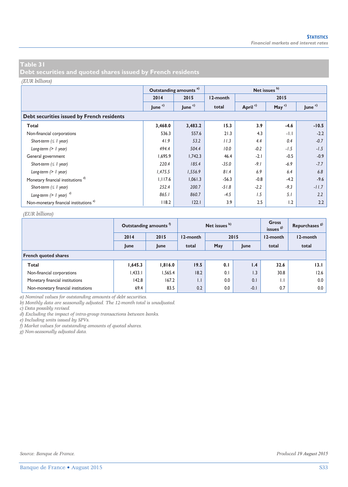**Debt securities and quoted shares issued by French residents** 

#### *(EUR billions)*

|                                                   |                    | Outstanding amounts <sup>a)</sup> |          |                     | Net issues b) |                    |  |  |  |  |  |  |
|---------------------------------------------------|--------------------|-----------------------------------|----------|---------------------|---------------|--------------------|--|--|--|--|--|--|
|                                                   | 2014               | 2015                              | 12-month |                     | 2015          |                    |  |  |  |  |  |  |
|                                                   | June $\frac{c}{c}$ | June <sup>c)</sup>                | total    | April <sup>c)</sup> | May $c)$      | June <sup>c)</sup> |  |  |  |  |  |  |
| Debt securities issued by French residents        |                    |                                   |          |                     |               |                    |  |  |  |  |  |  |
| Total                                             | 3,468.0            | 3,483.2                           | 15.3     | 3.9                 | $-4.6$        | $-10.5$            |  |  |  |  |  |  |
| Non-financial corporations                        | 536.3              | 557.6                             | 21.3     | 4.3                 | $-1.1$        | $-2.2$             |  |  |  |  |  |  |
| Short-term $( \leq l$ year)                       | 41.9               | 53.2                              | 11.3     | 4.4                 | 0.4           | $-0.7$             |  |  |  |  |  |  |
| Long-term $(> 1$ year)                            | 494.4              | 504.4                             | 10.0     | $-0.2$              | $-1.5$        | $-1.5$             |  |  |  |  |  |  |
| General government                                | 1,695.9            | 1,742.3                           | 46.4     | $-2.1$              | $-0.5$        | $-0.9$             |  |  |  |  |  |  |
| Short-term $( \leq l$ year)                       | 220.4              | 185.4                             | $-35.0$  | $-9.1$              | $-6.9$        | $-7.7$             |  |  |  |  |  |  |
| Long-term $(> 1$ year)                            | 1,475.5            | 1,556.9                           | 81.4     | 6.9                 | 6.4           | 6.8                |  |  |  |  |  |  |
| Monetary financial institutions <sup>d)</sup>     | 1,117.6            | 1,061.3                           | $-56.3$  | $-0.8$              | $-4.2$        | $-9.6$             |  |  |  |  |  |  |
| Short-term $( \leq l$ year)                       | 252.4              | 200.7                             | $-51.8$  | $-2.2$              | $-9.3$        | $-11.7$            |  |  |  |  |  |  |
| Long-term $(> 1$ year) $^{d)}$                    | 865.1              | 860.7                             | $-4.5$   | 1.5                 | 5.1           | 2.2                |  |  |  |  |  |  |
| Non-monetary financial institutions <sup>e)</sup> | 118.2              | 122.1                             | 3.9      | 2.5                 | 1.2           | 2.2                |  |  |  |  |  |  |

#### *(EUR billions)*

|                                     |         | Outstanding amounts <sup>1</sup> |              | Net issues b) |        | Gross<br>issues $g^{(2)}$ | Repurchases <sup>8</sup> |
|-------------------------------------|---------|----------------------------------|--------------|---------------|--------|---------------------------|--------------------------|
|                                     | 2014    | 2015                             | 12-month     |               | 2015   | 12-month                  | 12-month                 |
|                                     | June    | June                             | total        | May           | June   | total                     | total                    |
| <b>French quoted shares</b>         |         |                                  |              |               |        |                           |                          |
| Total                               | 1,645.3 | 1,816.0                          | 19.5         | 0.1           | 1.4    | 32.6                      | 13.1                     |
| Non-financial corporations          | 1,433.1 | 1,565.4                          | 18.2         | 0.1           | 1.3    | 30.8                      | 12.6                     |
| Monetary financial institutions     | 142.8   | 167.2                            | $\mathsf{L}$ | 0.0           | 0.1    | $\mathsf{L}$              | 0.0                      |
| Non-monetary financial institutions | 69.4    | 83.5                             | 0.2          | 0.0           | $-0.1$ | 0.7                       | 0.0                      |

*a) Nominal values for outstanding amounts of debt securities.* 

*b) Monthly data are seasonally adjusted. The 12-month total is unadjusted.* 

*c) Data possibly revised.* 

*d) Excluding the impact of intra-group transactions between banks.* 

*e) Including units issued by SPVs.* 

*f) Market values for outstanding amounts of quoted shares.* 

*g) Non-seasonally adjusted data.*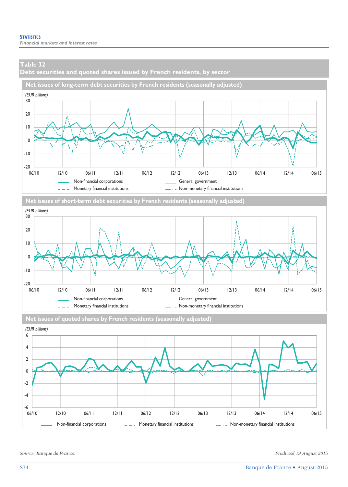**Debt securities and quoted shares issued by French residents, by sector** 





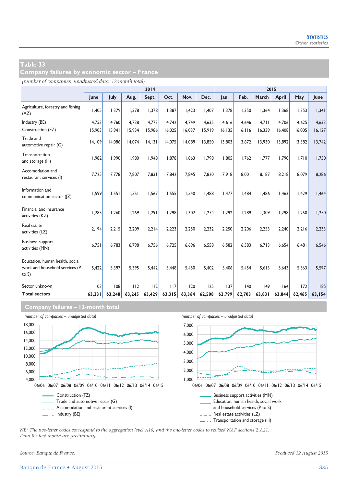**Company failures by economic sector – France** 

*(number of companies, unadjusted data, 12-month total)*

|                                                                               |        | 2014   |        |        |        |        |        |         | 2015    |        |              |        |             |
|-------------------------------------------------------------------------------|--------|--------|--------|--------|--------|--------|--------|---------|---------|--------|--------------|--------|-------------|
|                                                                               | June   | July   | Aug.   | Sept.  | Oct.   | Nov.   | Dec.   | Jan.    | Feb.    | March  | <b>April</b> | May    | <b>lune</b> |
| Agriculture, forestry and fishing<br>(AZ)                                     | 1.405  | 1.379  | 1.378  | 1.378  | 1.387  | 1.423  | 1.407  | 1,378   | 1.350   | 1.364  | 1.368        | 1,353  | 1,341       |
| Industry (BE)                                                                 | 4,753  | 4,760  | 4.738  | 4,773  | 4,742  | 4.749  | 4,635  | 4,616   | 4,646   | 4.711  | 4.706        | 4,625  | 4,633       |
| Construction (FZ)                                                             | 15,903 | 15,941 | 15,934 | 15,986 | 16,025 | 16,037 | 15,919 | 16, 135 | 16, 116 | 16,339 | 16,408       | 16,005 | 16, 127     |
| Trade and<br>automotive repair (G)                                            | 14.109 | 14.086 | 14.074 | 14.131 | 14.075 | 14.089 | 13,850 | 13,803  | 13.672  | 13.930 | 13,892       | 13,582 | 13,742      |
| Transportation<br>and storage (H)                                             | 1,982  | 1.990  | 1.980  | 1.948  | 1,878  | 1.863  | 1.798  | 1,805   | 1,762   | 1,777  | 1,790        | 1,710  | 1,750       |
| Accomodation and<br>restaurant services (I)                                   | 7,725  | 7,778  | 7,807  | 7.831  | 7.842  | 7.845  | 7.820  | 7.918   | 8.001   | 8.187  | 8.218        | 8,079  | 8.286       |
| Information and<br>communication sector ( Z)                                  | 1.599  | 1.551  | 1.551  | 1.567  | 1.555  | 1.540  | 1.488  | 1.477   | 1.484   | 1.486  | 1.463        | 1.429  | 1.464       |
| Financial and insurance<br>activities (KZ)                                    | 1.285  | 1.260  | 1.269  | 1.291  | 1.298  | 1.302  | 1.274  | 1,292   | 1.289   | 1.309  | 1.298        | 1.250  | 1,250       |
| Real estate<br>activities (LZ)                                                | 2.194  | 2.215  | 2.209  | 2,214  | 2,223  | 2.250  | 2.232  | 2,250   | 2.206   | 2.253  | 2,240        | 2,216  | 2,233       |
| <b>Business support</b><br>activities (MN)                                    | 6,751  | 6.783  | 6.798  | 6,756  | 6,725  | 6.696  | 6,558  | 6,582   | 6.583   | 6.713  | 6,654        | 6,481  | 6.546       |
| Education, human health, social<br>work and household services (P<br>to $S$ ) | 5.422  | 5.397  | 5.395  | 5.442  | 5.448  | 5.450  | 5.402  | 5.406   | 5.454   | 5.613  | 5.643        | 5.563  | 5.597       |
| Sector unknown                                                                | 103    | 108    | 112    | 112    | 117    | 120    | 125    | 137     | 140     | 49     | 164          | 172    | 185         |
| <b>Total sectors</b>                                                          | 63,231 | 63,248 | 63,245 | 63,429 | 63,315 | 63,364 | 62,508 | 62,799  | 62,703  | 63,831 | 63,844       | 62,465 | 63,154      |

### **Company failures – 12-month total**



*NB: The two-letter codes correspond to the aggregation level A10, and the one-letter codes to revised NAF sections 2 A21. Data for last month are preliminary.*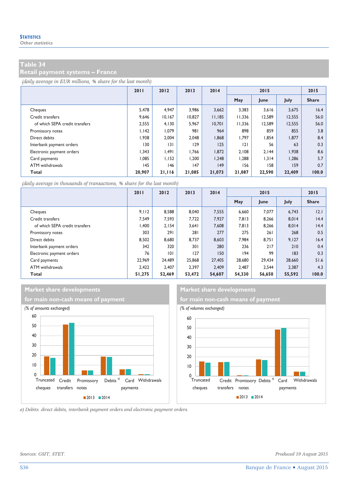**Retail payment systems – France** 

*(daily average in EUR millions, % share for the last month)*

|                                | 2011   | 2012   | 2013   | 2014   | 2015   |        |        | 2015         |
|--------------------------------|--------|--------|--------|--------|--------|--------|--------|--------------|
|                                |        |        |        |        | May    | June   | July   | <b>Share</b> |
| Cheques                        | 5,478  | 4.947  | 3.986  | 3,662  | 3,383  | 3,616  | 3,675  | 16.4         |
| Credit transfers               | 9.646  | 10.167 | 10.827 | 11.185 | 11.336 | 12,589 | 12,555 | 56.0         |
| of which SEPA credit transfers | 2.555  | 4.130  | 5.967  | 10,701 | 11.336 | 12.589 | 12,555 | 56.0         |
| Promissory notes               | 1.142  | 1.079  | 981    | 964    | 898    | 859    | 855    | 3.8          |
| Direct debits                  | 1,938  | 2.004  | 2,048  | 1,868  | 1,797  | 1,854  | 1,877  | 8.4          |
| Interbank payment orders       | 130    | 3      | 129    | 125    | 2      | 56     | 63     | 0.3          |
| Electronic payment orders      | 1.343  | 1.491  | 1.766  | 1,872  | 2.108  | 2.144  | 1.938  | 8.6          |
| Card payments                  | 1.085  | 1.152  | 1.200  | 1.248  | 1.288  | 1.314  | 1.286  | 5.7          |
| ATM withdrawals                | 145    | 146    | 147    | 149    | 156    | 158    | 159    | 0.7          |
| Total                          | 20,907 | 21,116 | 21,085 | 21,073 | 21,087 | 22,590 | 22,409 | 100.0        |

*(daily average in thousands of transactions, % share for the last month)*

|                                | 2011   | 2012   | 2013   | 2014   | 2015   |        |              | 2015         |
|--------------------------------|--------|--------|--------|--------|--------|--------|--------------|--------------|
|                                |        |        |        |        | May    | June   | July         | <b>Share</b> |
| Cheques                        | 9.112  | 8.588  | 8.040  | 7,555  | 6,660  | 7,077  | 6,743        | 2.1          |
| Credit transfers               | 7.549  | 7.593  | 7.722  | 7.927  | 7.813  | 8,266  | 8,014        | 4.4          |
| of which SEPA credit transfers | 1.400  | 2.154  | 3.641  | 7,608  | 7.813  | 8,266  | 8.014        | 4.4          |
| Promissory notes               | 303    | 291    | 281    | 277    | 275    | 261    | 268          | 0.5          |
| Direct debits                  | 8.502  | 8,680  | 8.737  | 8,603  | 7.984  | 8.751  | 9,127        | 16.4         |
| Interbank payment orders       | 342    | 320    | 301    | 280    | 236    | 217    | 210          | 0.4          |
| Electronic payment orders      | 76     | 0      | 127    | 150    | 194    | 99     | $ 83\rangle$ | 0.3          |
| Card payments                  | 22.969 | 24.489 | 25,868 | 27,405 | 28,680 | 29.434 | 28,660       | 51.6         |
| ATM withdrawals                | 2.422  | 2.407  | 2.397  | 2.409  | 2.487  | 2.544  | 2,387        | 4.3          |
| Total                          | 51,275 | 52,469 | 53,472 | 54,607 | 54,330 | 56,650 | 55,592       | 100.0        |

### **Market share developments** Market share developments





*a) Debits: direct debits, interbank payment orders and electronic payment orders.* 

*Sources: GSIT, STET. Produced 19 August 2015*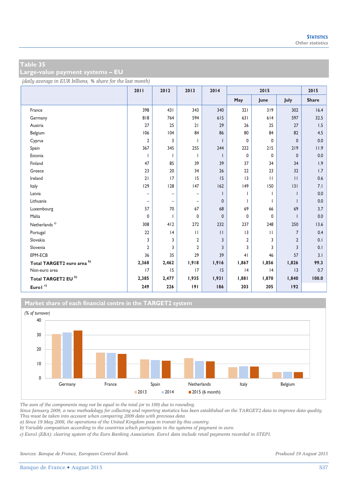**Large-value payment systems – EU** 

*(daily average in EUR billions, % share for the last month)*

|                            | 2011                     | 2012              | 2013                     | 2014         | 2015           |              |                | 2015         |
|----------------------------|--------------------------|-------------------|--------------------------|--------------|----------------|--------------|----------------|--------------|
|                            |                          |                   |                          |              | May            | June         | July           | <b>Share</b> |
| France                     | 398                      | 431               | 343                      | 340          | 321            | 319          | 302            | 16.4         |
| Germany                    | 818                      | 764               | 594                      | 615          | 631            | 614          | 597            | 32.5         |
| Austria                    | 27                       | 25                | 21                       | 29           | 26             | 25           | 27             | 1.5          |
| Belgium                    | 106                      | 104               | 84                       | 86           | 80             | 84           | 82             | 4.5          |
| Cyprus                     | $\overline{2}$           | 3                 | ı                        |              | $\mathbf 0$    | 0            | $\mathbf 0$    | 0.0          |
| Spain                      | 367                      | 345               | 255                      | 244          | 222            | 215          | 219            | 11.9         |
| Estonia                    | $\mathbf{I}$             |                   | T                        |              | $\mathbf 0$    | 0            | $\mathbf{0}$   | 0.0          |
| Finland                    | 47                       | 85                | 39                       | 39           | 37             | 34           | 34             | 1.9          |
| Greece                     | 23                       | 20                | 34                       | 26           | 22             | 23           | 32             | 1.7          |
| Ireland                    | 21                       | 17                | 15                       | 15           | 3              | $\mathbf{H}$ | $\mathbf{H}$   | 0.6          |
| Italy                      | 129                      | 128               | 147                      | 162          | 149            | 150          | 3              | 7.1          |
| Latvia                     | $\overline{\phantom{0}}$ | $\qquad \qquad -$ | $\overline{\phantom{0}}$ |              |                |              |                | 0.0          |
| Lithuania                  | $\qquad \qquad -$        | $\qquad \qquad -$ | $\overline{\phantom{0}}$ | $\mathbf{0}$ |                |              |                | 0.0          |
| Luxembourg                 | 57                       | 70                | 67                       | 68           | 69             | 66           | 69             | 3.7          |
| Malta                      | 0                        |                   | 0                        | $\mathbf{0}$ | 0              | 0            |                | 0.0          |
| Netherlands <sup>a)</sup>  | 308                      | 412               | 272                      | 232          | 237            | 248          | 250            | 13.6         |
| Portugal                   | 22                       | 4                 | $\mathbf{H}$             | $\mathbf{H}$ | 3              | $\mathbf{H}$ | $\overline{7}$ | 0.4          |
| Slovakia                   | 3                        | 3                 | 2                        | 3            | $\overline{2}$ | 3            | $\overline{2}$ | 0.1          |
| Slovenia                   | 2                        | 3                 | $\overline{2}$           | 3            | 3              | 3            | 3              | 0.1          |
| EPM-ECB                    | 36                       | 35                | 29                       | 39           | 41             | 46           | 57             | 3.1          |
| Total TARGET2 euro area b) | 2,368                    | 2,462             | 1,918                    | 1,916        | 1,867          | 1,856        | 1,826          | 99.3         |
| Non-euro area              | 17                       | 15                | 17                       | 15           | 4              | 4            | 3              | 0.7          |
| Total TARGET2 EU b)        | 2,385                    | 2,477             | 1,935                    | 1,931        | 1,881          | 1,870        | 1,840          | 100.0        |
| Eurol $^{\circ}$           | 249                      | 226               | 191                      | 186          | 203            | 205          | 192            |              |





*The sum of the components may not be equal to the total (or to 100) due to rounding.* 

*Since January 2009, a new methodology for collecting and reporting statistics has been established on the TARGET2 data to improve data quality. This must be taken into account when comparing 2009 data with previous data.* 

*a) Since 19 May 2008, the operations of the United Kingdom pass in transit by this country.* 

*b) Variable composition according to the countries which participate in the systems of payment in euro.* 

*c) Euro1 (EBA): clearing system of the Euro Banking Association. Euro1 data include retail payments recorded in STEP1.* 

*Sources: Banque de France, European Central Bank. Produced 19 August 2015*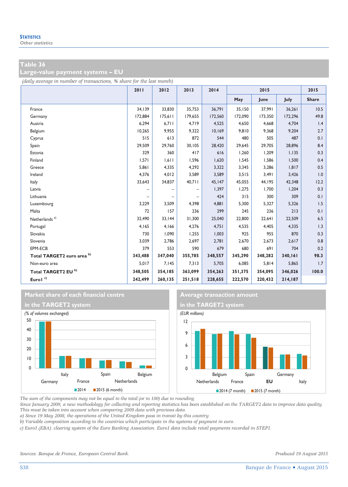**Large-value payment systems – EU** 

*(daily average in number of transactions, % share for the last month)*

|                                | 2011    | 2012    | 2013              | 2014    | 2015    |         |         | 2015         |
|--------------------------------|---------|---------|-------------------|---------|---------|---------|---------|--------------|
|                                |         |         |                   |         | May     | June    | July    | <b>Share</b> |
| France                         | 34,139  | 33,830  | 35,753            | 36,791  | 35,150  | 37,991  | 36,261  | 10.5         |
| Germany                        | 172,884 | 175,611 | 179.655           | 172.560 | 172.090 | 173,350 | 172,296 | 49.8         |
| Austria                        | 6,294   | 6,711   | 4,719             | 4,525   | 4,650   | 4,668   | 4,704   | 1.4          |
| Belgium                        | 10,265  | 9,955   | 9,322             | 10,169  | 9,810   | 9,368   | 9,204   | 2.7          |
| Cyprus                         | 515     | 613     | 872               | 544     | 480     | 505     | 487     | 0.1          |
| Spain                          | 29,509  | 29,760  | 30,105            | 28,420  | 29,645  | 29,705  | 28,896  | 8.4          |
| Estonia                        | 329     | 360     | 417               | 616     | 1,260   | 1,209   | 1,135   | 0.3          |
| Finland                        | 1,571   | 1,611   | 1.596             | 1,620   | 1,545   | 1.586   | 1,500   | 0.4          |
| Greece                         | 5,861   | 4,335   | 4,292             | 3,322   | 3,345   | 3,286   | 1,817   | 0.5          |
| Ireland                        | 4,376   | 4,012   | 3,589             | 3,589   | 3,515   | 3,491   | 3,426   | 1.0          |
| Italy                          | 33,643  | 34,837  | 40,711            | 45,147  | 45,055  | 44,195  | 42,348  | 12.2         |
| Latvia                         |         |         | -                 | 1,397   | 1,275   | 1,700   | 1,204   | 0.3          |
| Lithuania                      |         |         | $\qquad \qquad -$ | 424     | 315     | 300     | 309     | 0.1          |
| Luxembourg                     | 3,229   | 3,509   | 4,398             | 4,881   | 5,300   | 5,327   | 5,326   | 1.5          |
| Malta                          | 72      | 157     | 236               | 299     | 245     | 236     | 213     | 0.1          |
| Netherlands <sup>a)</sup>      | 32,490  | 33,144  | 31,300            | 25,040  | 22,800  | 22,641  | 22,509  | 6.5          |
| Portugal                       | 4,165   | 4,166   | 4,276             | 4,751   | 4,535   | 4,405   | 4,335   | 1.3          |
| Slovakia                       | 730     | 1,090   | 1,255             | 1,003   | 925     | 955     | 870     | 0.3          |
| Slovenia                       | 3,039   | 2,786   | 2,697             | 2,781   | 2,670   | 2,673   | 2,617   | 0.8          |
| EPM-ECB                        | 379     | 553     | 590               | 679     | 680     | 691     | 704     | 0.2          |
| Total TARGET2 euro area b)     | 343,488 | 347,040 | 355,785           | 348,557 | 345,290 | 348,282 | 340,161 | 98.3         |
| Non-euro area                  | 5,017   | 7,145   | 7,313             | 5,705   | 6,085   | 5,814   | 5,865   | 1.7          |
| Total TARGET2 EU <sup>b)</sup> | 348,505 | 354,185 | 363,099           | 354,263 | 351,375 | 354,095 | 346,026 | 100.0        |
| Eurol <sup>c)</sup>            | 242,499 | 260,135 | 251,518           | 228,655 | 222,570 | 220,432 | 214,187 |              |







*The sum of the components may not be equal to the total (or to 100) due to rounding.* 

*Since January 2009, a new methodology for collecting and reporting statistics has been established on the TARGET2 data to improve data quality. This must be taken into account when comparing 2009 data with previous data.* 

*a) Since 19 May 2008, the operations of the United Kingdom pass in transit by this country.* 

*b) Variable composition according to the countries which participate in the systems of payment in euro.* 

*c) Euro1 (EBA): clearing system of the Euro Banking Association. Euro1 data include retail payments recorded in STEP1.*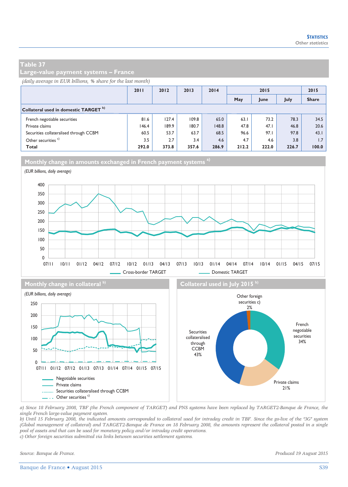**Large-value payment systems – France** 

#### *(daily average in EUR billions, % share for the last month)*

|                                                  | 2011  | 2012  | 2013  | 2014  | 2015  |       |       | 2015         |
|--------------------------------------------------|-------|-------|-------|-------|-------|-------|-------|--------------|
|                                                  |       |       |       |       | May   | June  | July  | <b>Share</b> |
| Collateral used in domestic TARGET <sup>b)</sup> |       |       |       |       |       |       |       |              |
| French negotiable securities                     | 81.6  | 127.4 | 109.8 | 65.0  | 63.1  | 73.2  | 78.3  | 34.5         |
| Private claims                                   | 146.4 | 189.9 | 180.7 | 148.8 | 47.8  | 47.1  | 46.8  | 20.6         |
| Securities collateralised through CCBM           | 60.5  | 53.7  | 63.7  | 68.5  | 96.6  | 97.1  | 97.8  | 43.1         |
| Other securities <sup>c)</sup>                   | 3.5   | 2.7   | 3.4   | 4.6   | 4.7   | 4.6   | 3.8   | 1.7          |
| <b>Total</b>                                     | 292.0 | 373.8 | 357.6 | 286.9 | 212.2 | 222.0 | 226.7 | 100.0        |





Negotiable securities Private claims

- . Other securities<sup>c)</sup>

......... Securities collateralised through CCBM

07/11 01/12 07/12 01/13 07/13 01/14 07/14 01/15 07/15

*a) Since 18 February 2008, TBF (the French component of TARGET) and PNS systems have been replaced by TARGET2-Banque de France, the single French large-value payment system. b) Until 15 February 2008, the indicated amounts corresponded to collateral used for intraday credit in TBF. Since the go-live of the "3G" system* 

collateralised through CCBM 43%

*(Global management of collateral) and TARGET2-Banque de France on 18 February 2008, the amounts represent the collateral posted in a single pool of assets and that can be used for monetary policy and/or intraday credit operations.* 

*c) Other foreign securities submitted via links between securities settlement systems.* 

 $\Omega$ 50 100 securities 34%

Private claims 21%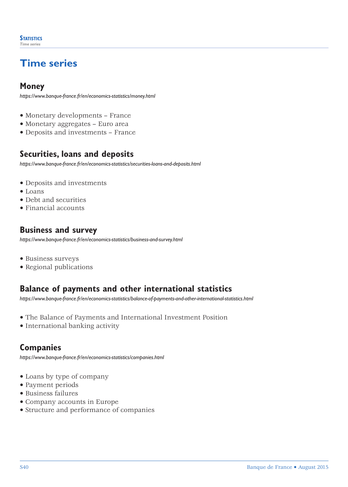# **Time series**

# **Money**

*https://www.banque-france.fr/en/economics-statistics/money.html*

- Monetary developments France
- Monetary aggregates Euro area
- Deposits and investments France

# **Securities, loans and deposits**

*https://www.banque-france.fr/en/economics-statistics/securities-loans-and-deposits.html*

- Deposits and investments
- Loans
- Debt and securities
- Financial accounts

# **Business and survey**

*https://www.banque-france.fr/en/economics-statistics/business-and-survey.html*

- Business surveys
- Regional publications

# **Balance of payments and other international statistics**

*[https://www.banque-france.fr/en/economics-statistics/balance-of-payments-and-other-international-statistics.html](http://www.banque-france.fr/en/economics-statistics/balance-of-payments-and-other-international-statistics.html)*

- The Balance of Payments and International Investment Position
- International banking activity

# **Companies**

*https://www.banque-france.fr/en/economics-statistics/companies.html*

- Loans by type of company
- Payment periods
- Business failures
- Company accounts in Europe
- Structure and performance of companies